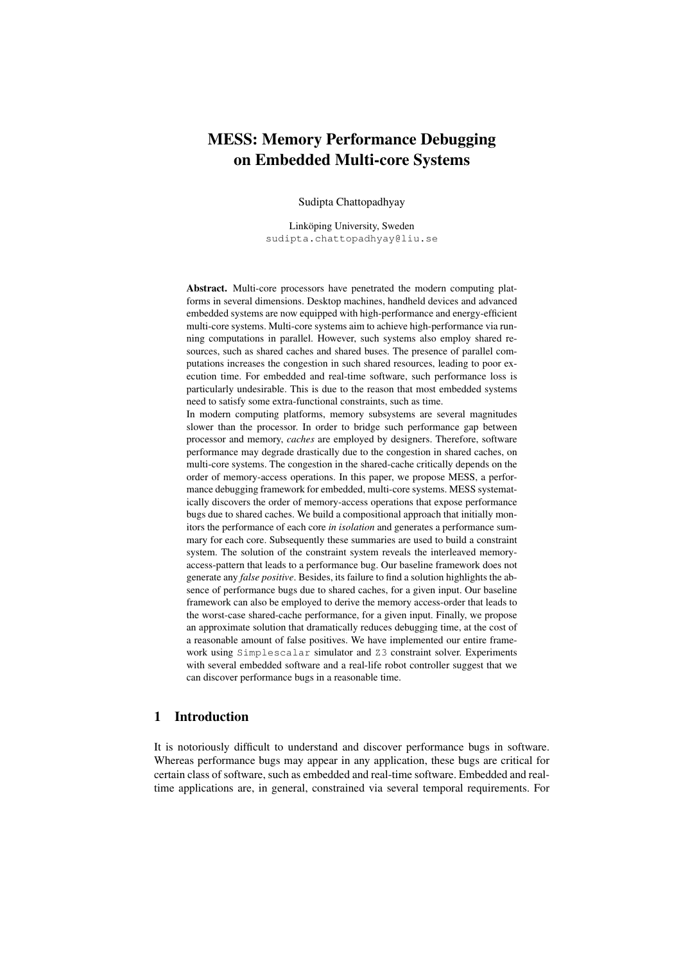# MESS: Memory Performance Debugging on Embedded Multi-core Systems

Sudipta Chattopadhyay

Linköping University, Sweden sudipta.chattopadhyay@liu.se

Abstract. Multi-core processors have penetrated the modern computing platforms in several dimensions. Desktop machines, handheld devices and advanced embedded systems are now equipped with high-performance and energy-efficient multi-core systems. Multi-core systems aim to achieve high-performance via running computations in parallel. However, such systems also employ shared resources, such as shared caches and shared buses. The presence of parallel computations increases the congestion in such shared resources, leading to poor execution time. For embedded and real-time software, such performance loss is particularly undesirable. This is due to the reason that most embedded systems need to satisfy some extra-functional constraints, such as time.

In modern computing platforms, memory subsystems are several magnitudes slower than the processor. In order to bridge such performance gap between processor and memory, *caches* are employed by designers. Therefore, software performance may degrade drastically due to the congestion in shared caches, on multi-core systems. The congestion in the shared-cache critically depends on the order of memory-access operations. In this paper, we propose MESS, a performance debugging framework for embedded, multi-core systems. MESS systematically discovers the order of memory-access operations that expose performance bugs due to shared caches. We build a compositional approach that initially monitors the performance of each core *in isolation* and generates a performance summary for each core. Subsequently these summaries are used to build a constraint system. The solution of the constraint system reveals the interleaved memoryaccess-pattern that leads to a performance bug. Our baseline framework does not generate any *false positive*. Besides, its failure to find a solution highlights the absence of performance bugs due to shared caches, for a given input. Our baseline framework can also be employed to derive the memory access-order that leads to the worst-case shared-cache performance, for a given input. Finally, we propose an approximate solution that dramatically reduces debugging time, at the cost of a reasonable amount of false positives. We have implemented our entire framework using Simplescalar simulator and Z3 constraint solver. Experiments with several embedded software and a real-life robot controller suggest that we can discover performance bugs in a reasonable time.

## 1 Introduction

It is notoriously difficult to understand and discover performance bugs in software. Whereas performance bugs may appear in any application, these bugs are critical for certain class of software, such as embedded and real-time software. Embedded and realtime applications are, in general, constrained via several temporal requirements. For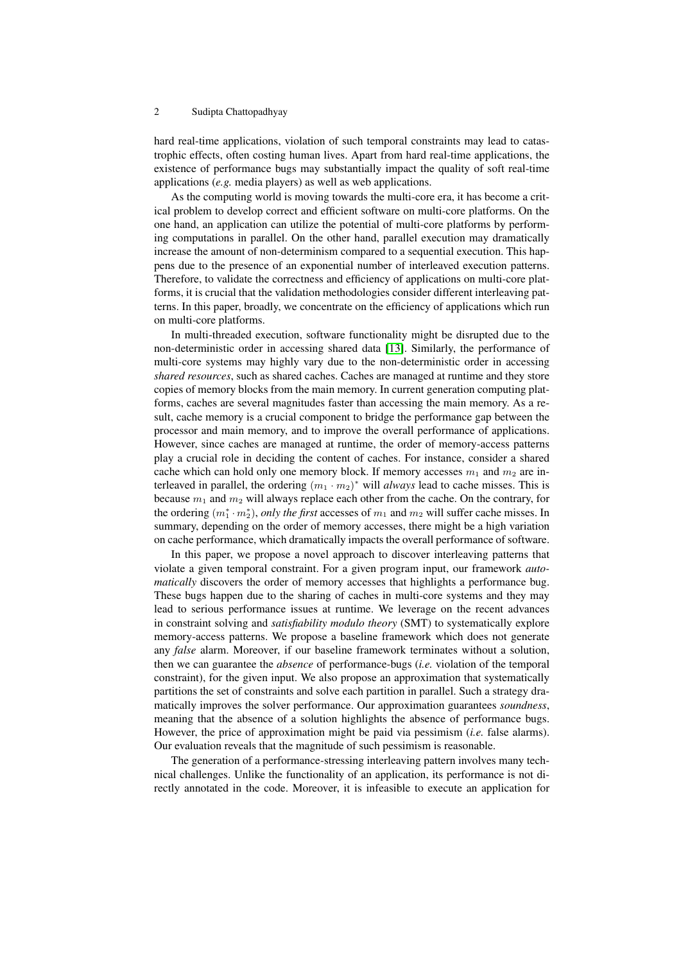hard real-time applications, violation of such temporal constraints may lead to catastrophic effects, often costing human lives. Apart from hard real-time applications, the existence of performance bugs may substantially impact the quality of soft real-time applications (*e.g.* media players) as well as web applications.

As the computing world is moving towards the multi-core era, it has become a critical problem to develop correct and efficient software on multi-core platforms. On the one hand, an application can utilize the potential of multi-core platforms by performing computations in parallel. On the other hand, parallel execution may dramatically increase the amount of non-determinism compared to a sequential execution. This happens due to the presence of an exponential number of interleaved execution patterns. Therefore, to validate the correctness and efficiency of applications on multi-core platforms, it is crucial that the validation methodologies consider different interleaving patterns. In this paper, broadly, we concentrate on the efficiency of applications which run on multi-core platforms.

In multi-threaded execution, software functionality might be disrupted due to the non-deterministic order in accessing shared data [\[13\]](#page-18-0). Similarly, the performance of multi-core systems may highly vary due to the non-deterministic order in accessing *shared resources*, such as shared caches. Caches are managed at runtime and they store copies of memory blocks from the main memory. In current generation computing platforms, caches are several magnitudes faster than accessing the main memory. As a result, cache memory is a crucial component to bridge the performance gap between the processor and main memory, and to improve the overall performance of applications. However, since caches are managed at runtime, the order of memory-access patterns play a crucial role in deciding the content of caches. For instance, consider a shared cache which can hold only one memory block. If memory accesses  $m_1$  and  $m_2$  are interleaved in parallel, the ordering  $(m_1 \cdot m_2)^*$  will *always* lead to cache misses. This is because  $m_1$  and  $m_2$  will always replace each other from the cache. On the contrary, for the ordering  $(m_1^* \cdot m_2^*)$ , *only the first* accesses of  $m_1$  and  $m_2$  will suffer cache misses. In summary, depending on the order of memory accesses, there might be a high variation on cache performance, which dramatically impacts the overall performance of software.

In this paper, we propose a novel approach to discover interleaving patterns that violate a given temporal constraint. For a given program input, our framework *automatically* discovers the order of memory accesses that highlights a performance bug. These bugs happen due to the sharing of caches in multi-core systems and they may lead to serious performance issues at runtime. We leverage on the recent advances in constraint solving and *satisfiability modulo theory* (SMT) to systematically explore memory-access patterns. We propose a baseline framework which does not generate any *false* alarm. Moreover, if our baseline framework terminates without a solution, then we can guarantee the *absence* of performance-bugs (*i.e.* violation of the temporal constraint), for the given input. We also propose an approximation that systematically partitions the set of constraints and solve each partition in parallel. Such a strategy dramatically improves the solver performance. Our approximation guarantees *soundness*, meaning that the absence of a solution highlights the absence of performance bugs. However, the price of approximation might be paid via pessimism (*i.e.* false alarms). Our evaluation reveals that the magnitude of such pessimism is reasonable.

The generation of a performance-stressing interleaving pattern involves many technical challenges. Unlike the functionality of an application, its performance is not directly annotated in the code. Moreover, it is infeasible to execute an application for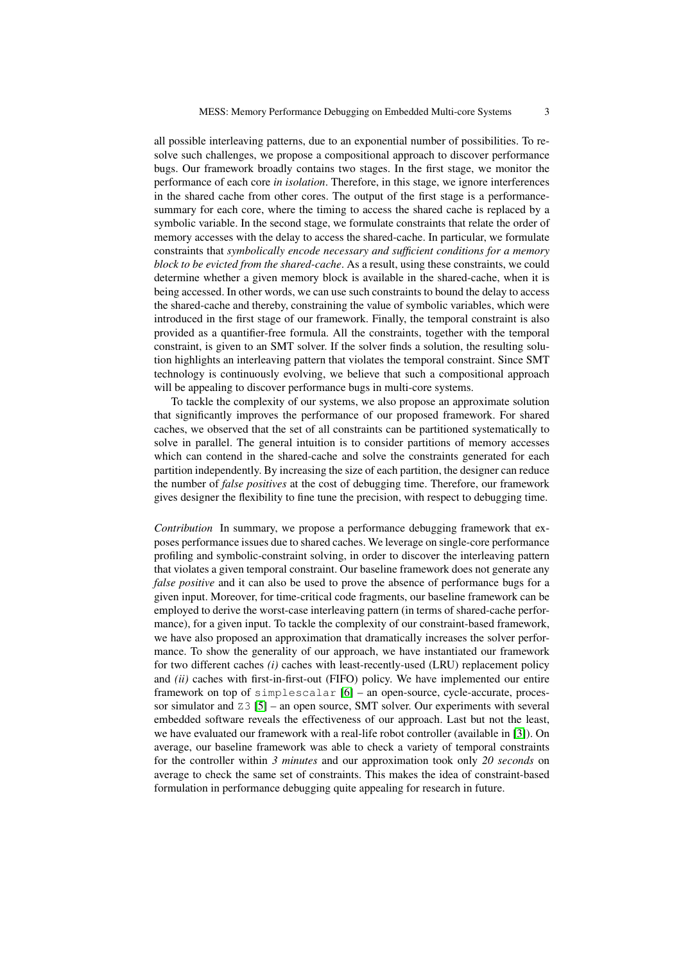all possible interleaving patterns, due to an exponential number of possibilities. To resolve such challenges, we propose a compositional approach to discover performance bugs. Our framework broadly contains two stages. In the first stage, we monitor the performance of each core *in isolation*. Therefore, in this stage, we ignore interferences in the shared cache from other cores. The output of the first stage is a performancesummary for each core, where the timing to access the shared cache is replaced by a symbolic variable. In the second stage, we formulate constraints that relate the order of memory accesses with the delay to access the shared-cache. In particular, we formulate constraints that *symbolically encode necessary and sufficient conditions for a memory block to be evicted from the shared-cache*. As a result, using these constraints, we could determine whether a given memory block is available in the shared-cache, when it is being accessed. In other words, we can use such constraints to bound the delay to access the shared-cache and thereby, constraining the value of symbolic variables, which were introduced in the first stage of our framework. Finally, the temporal constraint is also provided as a quantifier-free formula. All the constraints, together with the temporal constraint, is given to an SMT solver. If the solver finds a solution, the resulting solution highlights an interleaving pattern that violates the temporal constraint. Since SMT technology is continuously evolving, we believe that such a compositional approach will be appealing to discover performance bugs in multi-core systems.

To tackle the complexity of our systems, we also propose an approximate solution that significantly improves the performance of our proposed framework. For shared caches, we observed that the set of all constraints can be partitioned systematically to solve in parallel. The general intuition is to consider partitions of memory accesses which can contend in the shared-cache and solve the constraints generated for each partition independently. By increasing the size of each partition, the designer can reduce the number of *false positives* at the cost of debugging time. Therefore, our framework gives designer the flexibility to fine tune the precision, with respect to debugging time.

*Contribution* In summary, we propose a performance debugging framework that exposes performance issues due to shared caches. We leverage on single-core performance profiling and symbolic-constraint solving, in order to discover the interleaving pattern that violates a given temporal constraint. Our baseline framework does not generate any *false positive* and it can also be used to prove the absence of performance bugs for a given input. Moreover, for time-critical code fragments, our baseline framework can be employed to derive the worst-case interleaving pattern (in terms of shared-cache performance), for a given input. To tackle the complexity of our constraint-based framework, we have also proposed an approximation that dramatically increases the solver performance. To show the generality of our approach, we have instantiated our framework for two different caches *(i)* caches with least-recently-used (LRU) replacement policy and *(ii)* caches with first-in-first-out (FIFO) policy. We have implemented our entire framework on top of simplescalar [\[6\]](#page-18-1) – an open-source, cycle-accurate, processor simulator and Z3 [\[5\]](#page-18-2) – an open source, SMT solver. Our experiments with several embedded software reveals the effectiveness of our approach. Last but not the least, we have evaluated our framework with a real-life robot controller (available in [\[3\]](#page-18-3)). On average, our baseline framework was able to check a variety of temporal constraints for the controller within *3 minutes* and our approximation took only *20 seconds* on average to check the same set of constraints. This makes the idea of constraint-based formulation in performance debugging quite appealing for research in future.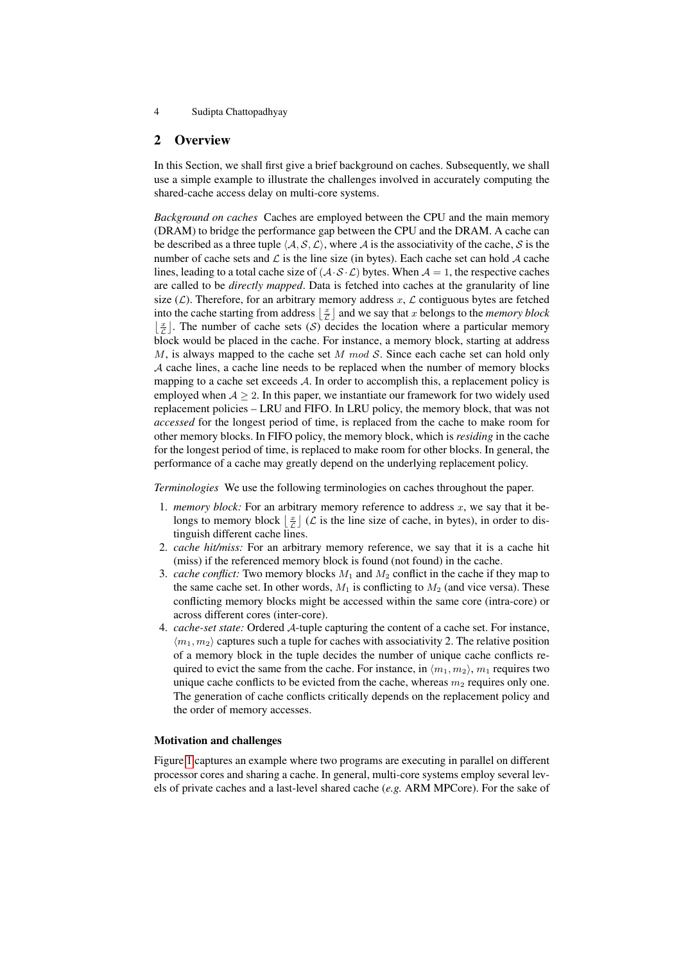## 2 Overview

In this Section, we shall first give a brief background on caches. Subsequently, we shall use a simple example to illustrate the challenges involved in accurately computing the shared-cache access delay on multi-core systems.

*Background on caches* Caches are employed between the CPU and the main memory (DRAM) to bridge the performance gap between the CPU and the DRAM. A cache can be described as a three tuple  $\langle A, S, \mathcal{L} \rangle$ , where A is the associativity of the cache, S is the number of cache sets and  $\mathcal L$  is the line size (in bytes). Each cache set can hold  $\mathcal A$  cache lines, leading to a total cache size of  $(A \cdot S \cdot \mathcal{L})$  bytes. When  $\mathcal{A} = 1$ , the respective caches are called to be *directly mapped*. Data is fetched into caches at the granularity of line size  $(\mathcal{L})$ . Therefore, for an arbitrary memory address x,  $\mathcal{L}$  contiguous bytes are fetched into the cache starting from address  $\lfloor \frac{x}{\mathcal{L}} \rfloor$  and we say that x belongs to the *memory block*  $\lfloor \frac{x}{c} \rfloor$ . The number of cache sets (S) decides the location where a particular memory block would be placed in the cache. For instance, a memory block, starting at address  $M$ , is always mapped to the cache set  $M \mod S$ . Since each cache set can hold only A cache lines, a cache line needs to be replaced when the number of memory blocks mapping to a cache set exceeds A. In order to accomplish this, a replacement policy is employed when  $A > 2$ . In this paper, we instantiate our framework for two widely used replacement policies – LRU and FIFO. In LRU policy, the memory block, that was not *accessed* for the longest period of time, is replaced from the cache to make room for other memory blocks. In FIFO policy, the memory block, which is *residing* in the cache for the longest period of time, is replaced to make room for other blocks. In general, the performance of a cache may greatly depend on the underlying replacement policy.

*Terminologies* We use the following terminologies on caches throughout the paper.

- 1. *memory block:* For an arbitrary memory reference to address  $x$ , we say that it belongs to memory block  $\lfloor \frac{x}{\mathcal{L}} \rfloor$  ( $\mathcal{L}$  is the line size of cache, in bytes), in order to distinguish different cache lines.
- 2. *cache hit/miss:* For an arbitrary memory reference, we say that it is a cache hit (miss) if the referenced memory block is found (not found) in the cache.
- 3. *cache conflict:* Two memory blocks  $M_1$  and  $M_2$  conflict in the cache if they map to the same cache set. In other words,  $M_1$  is conflicting to  $M_2$  (and vice versa). These conflicting memory blocks might be accessed within the same core (intra-core) or across different cores (inter-core).
- 4. *cache-set state:* Ordered A-tuple capturing the content of a cache set. For instance,  $\langle m_1, m_2 \rangle$  captures such a tuple for caches with associativity 2. The relative position of a memory block in the tuple decides the number of unique cache conflicts required to evict the same from the cache. For instance, in  $\langle m_1, m_2 \rangle$ ,  $m_1$  requires two unique cache conflicts to be evicted from the cache, whereas  $m_2$  requires only one. The generation of cache conflicts critically depends on the replacement policy and the order of memory accesses.

#### Motivation and challenges

Figure [1](#page-4-0) captures an example where two programs are executing in parallel on different processor cores and sharing a cache. In general, multi-core systems employ several levels of private caches and a last-level shared cache (*e.g.* ARM MPCore). For the sake of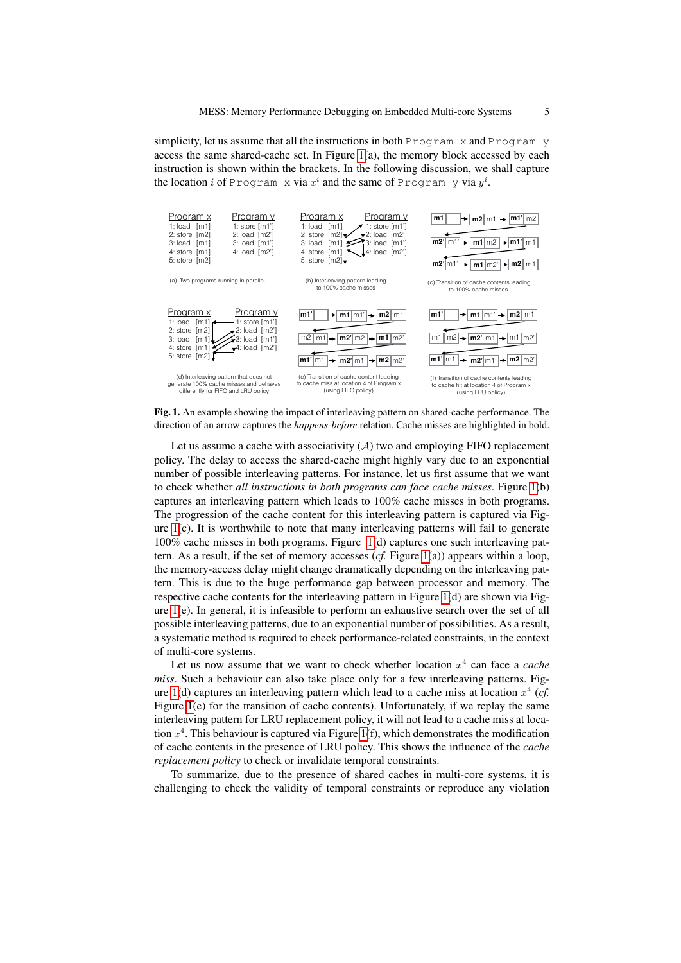simplicity, let us assume that all the instructions in both  $P_{\text{rogram}} \times$  and  $P_{\text{rogram}} \times$ access the same shared-cache set. In Figure [1\(](#page-4-0)a), the memory block accessed by each instruction is shown within the brackets. In the following discussion, we shall capture the location  $i$  of Program  $\,$  x via  $x^i$  and the same of Program  $\,$  y via  $y^i.$ 



<span id="page-4-0"></span>Fig. 1. An example showing the impact of interleaving pattern on shared-cache performance. The direction of an arrow captures the *happens-before* relation. Cache misses are highlighted in bold.

Let us assume a cache with associativity  $(A)$  two and employing FIFO replacement policy. The delay to access the shared-cache might highly vary due to an exponential number of possible interleaving patterns. For instance, let us first assume that we want to check whether *all instructions in both programs can face cache misses*. Figure [1\(](#page-4-0)b) captures an interleaving pattern which leads to 100% cache misses in both programs. The progression of the cache content for this interleaving pattern is captured via Figure  $1(c)$ . It is worthwhile to note that many interleaving patterns will fail to generate 100% cache misses in both programs. Figure [1\(](#page-4-0)d) captures one such interleaving pattern. As a result, if the set of memory accesses (*cf.* Figure [1\(](#page-4-0)a)) appears within a loop, the memory-access delay might change dramatically depending on the interleaving pattern. This is due to the huge performance gap between processor and memory. The respective cache contents for the interleaving pattern in Figure [1\(](#page-4-0)d) are shown via Figure  $1(e)$ . In general, it is infeasible to perform an exhaustive search over the set of all possible interleaving patterns, due to an exponential number of possibilities. As a result, a systematic method is required to check performance-related constraints, in the context of multi-core systems.

Let us now assume that we want to check whether location  $x<sup>4</sup>$  can face a *cache miss*. Such a behaviour can also take place only for a few interleaving patterns. Figure  $1(d)$  captures an interleaving pattern which lead to a cache miss at location  $x^4$  (*cf.* Figure [1\(](#page-4-0)e) for the transition of cache contents). Unfortunately, if we replay the same interleaving pattern for LRU replacement policy, it will not lead to a cache miss at location  $x^4$ . This behaviour is captured via Figure [1\(](#page-4-0)f), which demonstrates the modification of cache contents in the presence of LRU policy. This shows the influence of the *cache replacement policy* to check or invalidate temporal constraints.

To summarize, due to the presence of shared caches in multi-core systems, it is challenging to check the validity of temporal constraints or reproduce any violation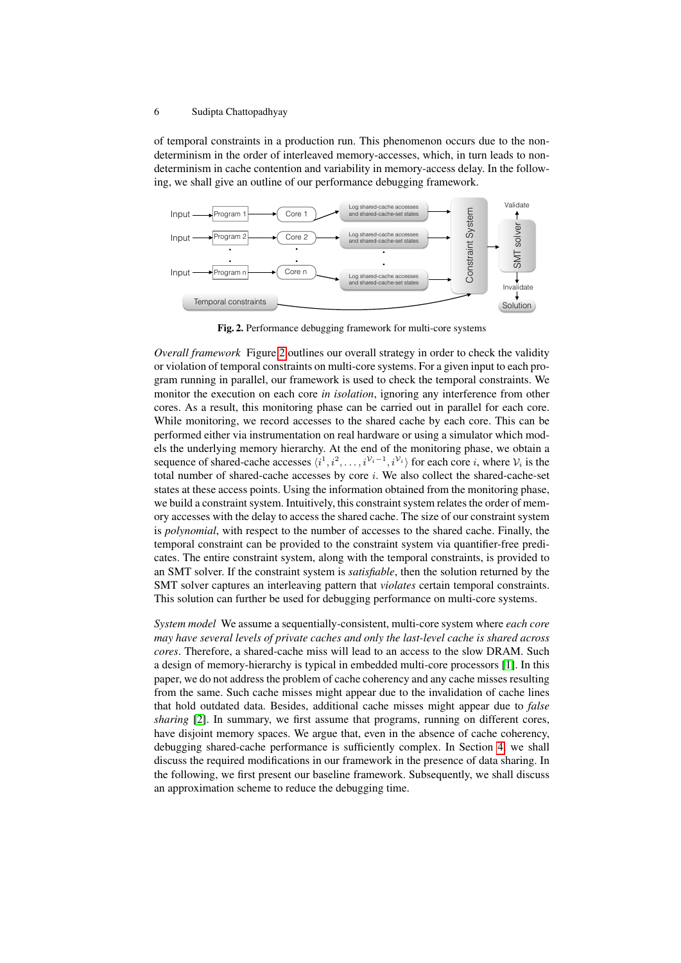of temporal constraints in a production run. This phenomenon occurs due to the nondeterminism in the order of interleaved memory-accesses, which, in turn leads to nondeterminism in cache contention and variability in memory-access delay. In the following, we shall give an outline of our performance debugging framework.



<span id="page-5-0"></span>Fig. 2. Performance debugging framework for multi-core systems

*Overall framework* Figure [2](#page-5-0) outlines our overall strategy in order to check the validity or violation of temporal constraints on multi-core systems. For a given input to each program running in parallel, our framework is used to check the temporal constraints. We monitor the execution on each core *in isolation*, ignoring any interference from other cores. As a result, this monitoring phase can be carried out in parallel for each core. While monitoring, we record accesses to the shared cache by each core. This can be performed either via instrumentation on real hardware or using a simulator which models the underlying memory hierarchy. At the end of the monitoring phase, we obtain a sequence of shared-cache accesses  $\langle i^1, i^2, \ldots, i^{\mathcal{V}_i-1}, i^{\mathcal{V}_i} \rangle$  for each core i, where  $\mathcal{V}_i$  is the total number of shared-cache accesses by core  $i$ . We also collect the shared-cache-set states at these access points. Using the information obtained from the monitoring phase, we build a constraint system. Intuitively, this constraint system relates the order of memory accesses with the delay to access the shared cache. The size of our constraint system is *polynomial*, with respect to the number of accesses to the shared cache. Finally, the temporal constraint can be provided to the constraint system via quantifier-free predicates. The entire constraint system, along with the temporal constraints, is provided to an SMT solver. If the constraint system is *satisfiable*, then the solution returned by the SMT solver captures an interleaving pattern that *violates* certain temporal constraints. This solution can further be used for debugging performance on multi-core systems.

*System model* We assume a sequentially-consistent, multi-core system where *each core may have several levels of private caches and only the last-level cache is shared across cores*. Therefore, a shared-cache miss will lead to an access to the slow DRAM. Such a design of memory-hierarchy is typical in embedded multi-core processors [\[1\]](#page-18-4). In this paper, we do not address the problem of cache coherency and any cache misses resulting from the same. Such cache misses might appear due to the invalidation of cache lines that hold outdated data. Besides, additional cache misses might appear due to *false sharing* [\[2\]](#page-18-5). In summary, we first assume that programs, running on different cores, have disjoint memory spaces. We argue that, even in the absence of cache coherency, debugging shared-cache performance is sufficiently complex. In Section [4,](#page-13-0) we shall discuss the required modifications in our framework in the presence of data sharing. In the following, we first present our baseline framework. Subsequently, we shall discuss an approximation scheme to reduce the debugging time.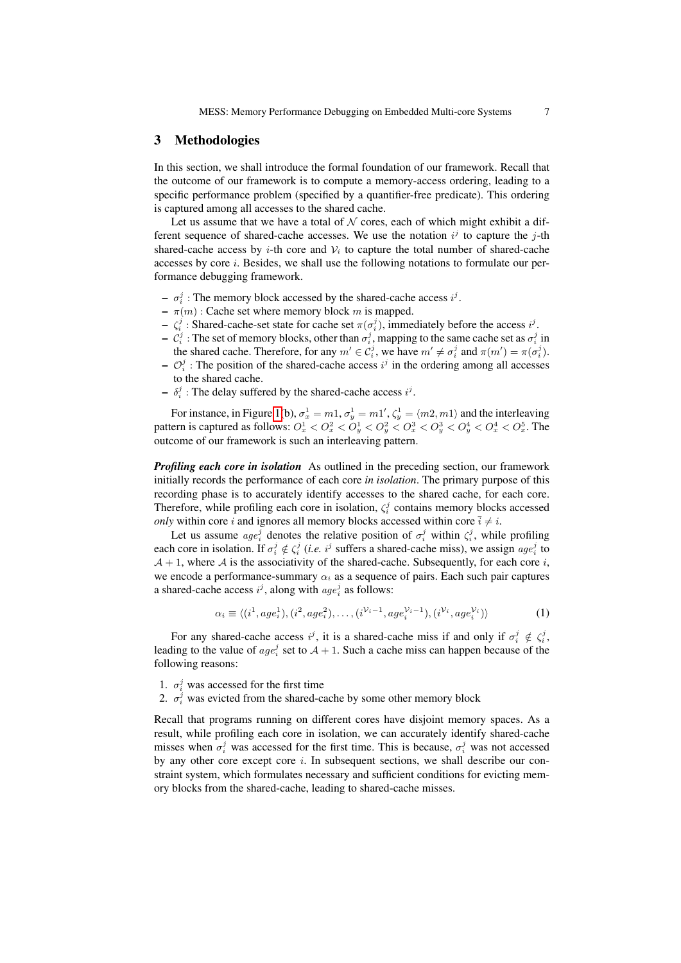## 3 Methodologies

In this section, we shall introduce the formal foundation of our framework. Recall that the outcome of our framework is to compute a memory-access ordering, leading to a specific performance problem (specified by a quantifier-free predicate). This ordering is captured among all accesses to the shared cache.

Let us assume that we have a total of  $N$  cores, each of which might exhibit a different sequence of shared-cache accesses. We use the notation  $i^j$  to capture the j-th shared-cache access by *i*-th core and  $V_i$  to capture the total number of shared-cache accesses by core  $i$ . Besides, we shall use the following notations to formulate our performance debugging framework.

- $\sigma_i^j$ : The memory block accessed by the shared-cache access  $i^j$ .
- $\pi(m)$ : Cache set where memory block m is mapped.
- $-\zeta_i^j$ : Shared-cache-set state for cache set  $\pi(\sigma_i^j)$ , immediately before the access  $i^j$ .
- $-c_i^j$ : The set of memory blocks, other than  $\sigma_i^j$ , mapping to the same cache set as  $\sigma_i^j$  in the shared cache. Therefore, for any  $m' \in C_i^j$ , we have  $m' \neq \sigma_i^j$  and  $\pi(m') = \pi(\sigma_i^j)$ .
- $\mathcal{O}_i^j$ : The position of the shared-cache access  $i^j$  in the ordering among all accesses to the shared cache.
- $\delta_i^j$ : The delay suffered by the shared-cache access  $i^j$ .

For instance, in Figure [1\(](#page-4-0)b),  $\sigma_x^1 = m_1$ ,  $\sigma_y^1 = m_1'$ ,  $\zeta_y^1 = \langle m_2, m_1 \rangle$  and the interleaving pattern is captured as follows:  $O_x^1 < O_x^2 < O_y^1 < O_y^2 < O_x^3 < O_y^3 < O_y^4 < O_x^4 < O_x^5$ . The outcome of our framework is such an interleaving pattern.

*Profiling each core in isolation* As outlined in the preceding section, our framework initially records the performance of each core *in isolation*. The primary purpose of this recording phase is to accurately identify accesses to the shared cache, for each core. Therefore, while profiling each core in isolation,  $\zeta_i^j$  contains memory blocks accessed *only* within core *i* and ignores all memory blocks accessed within core  $\overline{i} \neq i$ .

Let us assume  $age_i^j$  denotes the relative position of  $\sigma_i^j$  within  $\zeta_i^j$ , while profiling each core in isolation. If  $\sigma_i^j \notin \zeta_i^j$  (*i.e. i*<sup>j</sup> suffers a shared-cache miss), we assign  $age_i^j$  to  $A + 1$ , where A is the associativity of the shared-cache. Subsequently, for each core i, we encode a performance-summary  $\alpha_i$  as a sequence of pairs. Each such pair captures a shared-cache access  $i^j$ , along with  $age_i^j$  as follows:

<span id="page-6-0"></span>
$$
\alpha_i \equiv \langle (i^1, age_i^1), (i^2, age_i^2), \dots, (i^{\mathcal{V}_i - 1}, age_i^{\mathcal{V}_i - 1}), (i^{\mathcal{V}_i}, age_i^{\mathcal{V}_i}) \rangle \tag{1}
$$

For any shared-cache access  $i^j$ , it is a shared-cache miss if and only if  $\sigma_i^j \notin \zeta_i^j$ , leading to the value of  $age_i^j$  set to  $A + 1$ . Such a cache miss can happen because of the following reasons:

- 1.  $\sigma_i^j$  was accessed for the first time
- 2.  $\sigma_i^j$  was evicted from the shared-cache by some other memory block

Recall that programs running on different cores have disjoint memory spaces. As a result, while profiling each core in isolation, we can accurately identify shared-cache misses when  $\sigma_i^j$  was accessed for the first time. This is because,  $\sigma_i^j$  was not accessed by any other core except core i. In subsequent sections, we shall describe our constraint system, which formulates necessary and sufficient conditions for evicting memory blocks from the shared-cache, leading to shared-cache misses.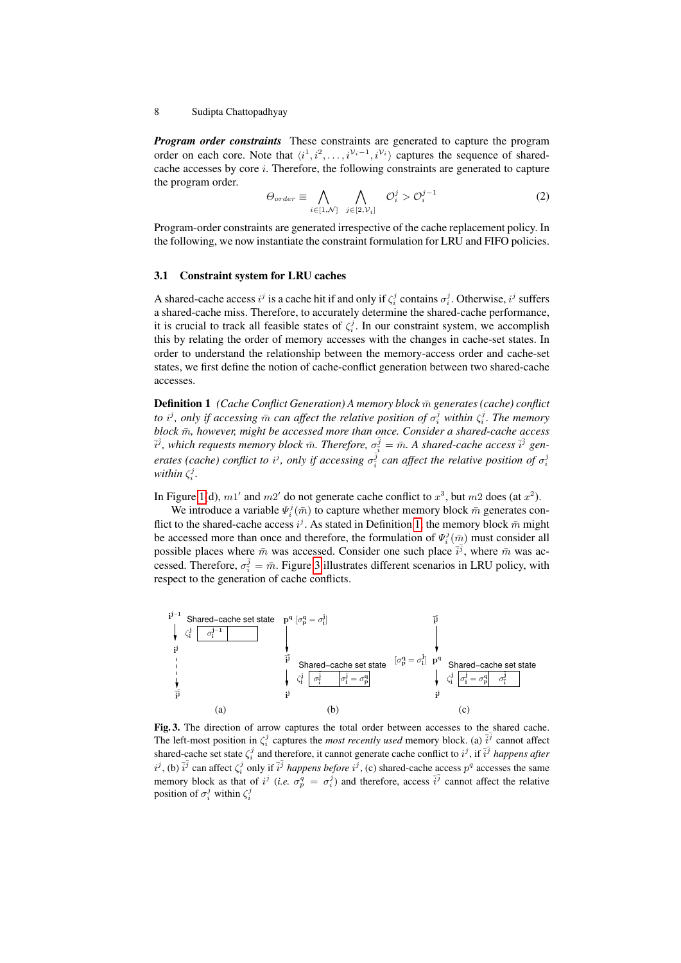*Program order constraints* These constraints are generated to capture the program order on each core. Note that  $\langle i^1, i^2, \ldots, i^{\mathcal{V}_i-1}, i^{\mathcal{V}_i} \rangle$  captures the sequence of sharedcache accesses by core i. Therefore, the following constraints are generated to capture the program order.

<span id="page-7-2"></span>
$$
\Theta_{order} \equiv \bigwedge_{i \in [1, \mathcal{N}]} \bigwedge_{j \in [2, \mathcal{V}_i]} \mathcal{O}_i^j > \mathcal{O}_i^{j-1} \tag{2}
$$

Program-order constraints are generated irrespective of the cache replacement policy. In the following, we now instantiate the constraint formulation for LRU and FIFO policies.

#### 3.1 Constraint system for LRU caches

A shared-cache access  $i^j$  is a cache hit if and only if  $\zeta_i^j$  contains  $\sigma_i^j$ . Otherwise,  $i^j$  suffers a shared-cache miss. Therefore, to accurately determine the shared-cache performance, it is crucial to track all feasible states of  $\zeta_i^j$ . In our constraint system, we accomplish this by relating the order of memory accesses with the changes in cache-set states. In order to understand the relationship between the memory-access order and cache-set states, we first define the notion of cache-conflict generation between two shared-cache accesses.

<span id="page-7-0"></span>**Definition 1** *(Cache Conflict Generation) A memory block*  $\bar{m}$  *generates (cache) conflict to*  $i^j$ , only if accessing  $\bar{m}$  can affect the relative position of  $\sigma_i^j$  within  $\zeta_i^j$ . The memory *block*  $\bar{m}$ *, however, might be accessed more than once. Consider a shared-cache access*  $\bar{i}^{\bar{j}}$ , which requests memory block  $\bar{m}$ . Therefore,  $\sigma_{\bar{i}}^{\bar{j}} = \bar{m}$ . A shared-cache access  $\bar{i}^{\bar{j}}$  gen*erates (cache) conflict to*  $i^j$ , only if accessing  $\sigma_{\bar{i}}^{\bar{j}}$  can affect the relative position of  $\sigma_i^j$ within  $\zeta_i^j$ .

In Figure [1\(](#page-4-0)d),  $m1'$  and  $m2'$  do not generate cache conflict to  $x^3$ , but  $m2$  does (at  $x^2$ ).

We introduce a variable  $\Psi_i^j(\bar{m})$  to capture whether memory block  $\bar{m}$  generates conflict to the shared-cache access  $i^j$ . As stated in Definition [1,](#page-7-0) the memory block  $\bar{m}$  might be accessed more than once and therefore, the formulation of  $\Psi_i^j(\bar{m})$  must consider all possible places where  $\bar{m}$  was accessed. Consider one such place  $\bar{i}^{\bar{j}}$ , where  $\bar{m}$  was accessed. Therefore,  $\sigma_{\bar{i}}^{\bar{j}} = \bar{m}$ . Figure [3](#page-7-1) illustrates different scenarios in LRU policy, with respect to the generation of cache conflicts.



<span id="page-7-1"></span>Fig. 3. The direction of arrow captures the total order between accesses to the shared cache. The left-most position in  $\zeta_i^j$  captures the *most recently used* memory block. (a)  $\bar{i}^{\bar{j}}$  cannot affect shared-cache set state  $\zeta_i^j$  and therefore, it cannot generate cache conflict to  $i^j$ , if  $\bar{i}^{\bar{j}}$  *happens after*  $i^j$ , (b)  $\overline{i}^{\overline{j}}$  can affect  $\zeta_i^j$  only if  $\overline{i}^{\overline{j}}$  *happens before*  $i^j$ , (c) shared-cache access  $p^q$  accesses the same memory block as that of  $i^j$  (*i.e.*  $\sigma_p^q = \sigma_i^j$ ) and therefore, access  $\bar{i}^j$  cannot affect the relative position of  $\sigma_i^j$  within  $\zeta_i^j$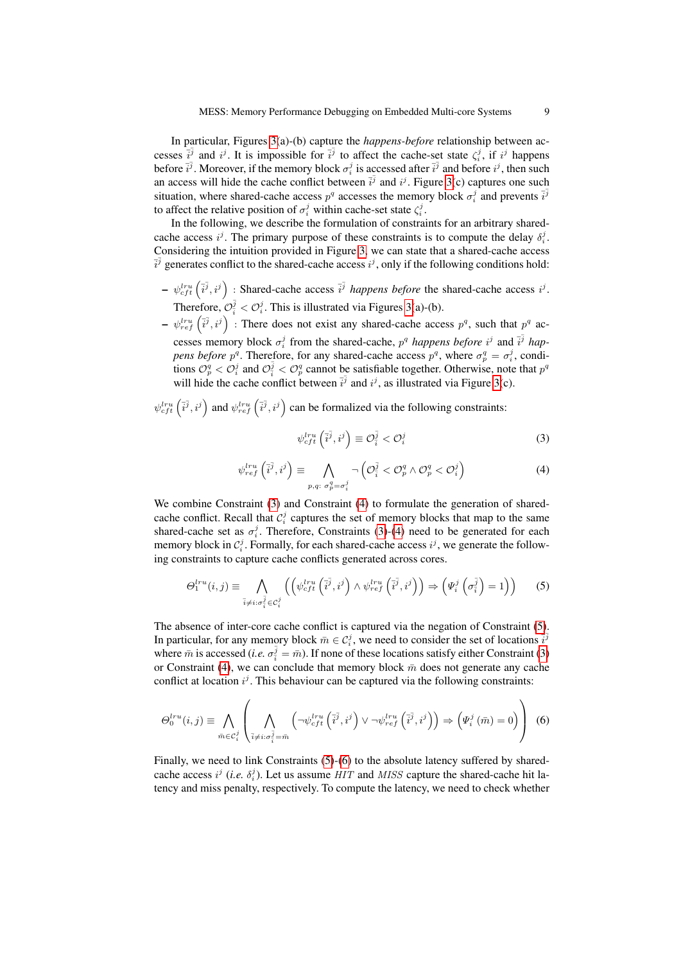In particular, Figures [3\(](#page-7-1)a)-(b) capture the *happens-before* relationship between accesses  $\bar{i}^{\bar{j}}$  and  $i^j$ . It is impossible for  $\bar{i}^{\bar{j}}$  to affect the cache-set state  $\zeta_i^j$ , if  $i^j$  happens before  $\bar{i}^{\bar{j}}$ . Moreover, if the memory block  $\sigma_i^j$  is accessed after  $\bar{i}^{\bar{j}}$  and before  $i^j$ , then such an access will hide the cache conflict between  $\bar{i}^{\bar{j}}$  and  $i^j$ . Figure [3\(](#page-7-1)c) captures one such situation, where shared-cache access  $p^q$  accesses the memory block  $\sigma_i^j$  and prevents  $\bar{i}^{\bar{j}}$ to affect the relative position of  $\sigma_i^j$  within cache-set state  $\zeta_i^j$ .

In the following, we describe the formulation of constraints for an arbitrary sharedcache access  $i^j$ . The primary purpose of these constraints is to compute the delay  $\delta_i^j$ . Considering the intuition provided in Figure [3,](#page-7-1) we can state that a shared-cache access  $\bar{i}^{\bar{j}}$  generates conflict to the shared-cache access  $i^j$ , only if the following conditions hold:

- $\psi_{cft}^{lru} (\bar{i}^{\bar{j}}, i^j)$  : Shared-cache access  $\bar{i}^{\bar{j}}$  happens before the shared-cache access  $i^j$ . Therefore,  $\mathcal{O}_{\bar{i}}^{\bar{j}} < \mathcal{O}_{i}^{j}$ . This is illustrated via Figures [3\(](#page-7-1)a)-(b).
- $\psi_{ref}^{lru} (\bar{i}^{\bar{j}}, i^{\bar{j}})$ : There does not exist any shared-cache access  $p^q$ , such that  $p^q$  accesses memory block  $\sigma_i^j$  from the shared-cache,  $p^q$  *happens before*  $i^j$  and  $i^{\bar{j}}$  *happens before*  $p^q$ . Therefore, for any shared-cache access  $p^q$ , where  $\sigma_p^q = \sigma_i^j$ , conditions  $\mathcal{O}_p^q < \mathcal{O}_i^j$  and  $\mathcal{O}_i^{\bar{j}} < \mathcal{O}_p^q$  cannot be satisfiable together. Otherwise, note that  $p^q$ will hide the cache conflict between  $\bar{i}^{\bar{j}}$  and  $i^j$ , as illustrated via Figure [3\(](#page-7-1)c).

$$
\psi_{cft}^{lru}\left(\bar{i}^{\bar{j}},i^j\right) \text{ and } \psi_{ref}^{lru}\left(\bar{i}^{\bar{j}},i^j\right) \text{ can be formalized via the following constraints:}
$$

<span id="page-8-0"></span>
$$
\psi_{cft}^{lru} \left( \bar{i}^{\bar{j}}, i^j \right) \equiv \mathcal{O}_i^{\bar{j}} < \mathcal{O}_i^j \tag{3}
$$

<span id="page-8-1"></span>
$$
\psi_{ref}^{lru} \left( \bar{i}^{\bar{j}}, i^j \right) \equiv \bigwedge_{p,q: \sigma_p^q = \sigma_i^j} \neg \left( \mathcal{O}_{\bar{i}}^{\bar{j}} < \mathcal{O}_p^q \land \mathcal{O}_p^q < \mathcal{O}_i^j \right) \tag{4}
$$

We combine Constraint [\(3\)](#page-8-0) and Constraint [\(4\)](#page-8-1) to formulate the generation of sharedcache conflict. Recall that  $\mathcal{C}_i^j$  captures the set of memory blocks that map to the same shared-cache set as  $\sigma_i^j$ . Therefore, Constraints [\(3\)](#page-8-0)-[\(4\)](#page-8-1) need to be generated for each memory block in  $C_i^j$ . Formally, for each shared-cache access  $i^j$ , we generate the following constraints to capture cache conflicts generated across cores.

<span id="page-8-2"></span>
$$
\Theta_1^{lru}(i,j) \equiv \bigwedge_{\vec{i} \neq i:\sigma_{\vec{i}}^{\vec{j}} \in C_i^j} \left( \left( \psi_{cft}^{lru} \left( \vec{i}^{\vec{j}}, i^j \right) \wedge \psi_{ref}^{lru} \left( \vec{i}^{\vec{j}}, i^j \right) \right) \Rightarrow \left( \Psi_i^j \left( \sigma_{\vec{i}}^{\vec{j}} \right) = 1 \right) \right)
$$
(5)

The absence of inter-core cache conflict is captured via the negation of Constraint [\(5\)](#page-8-2). In particular, for any memory block  $\bar{m} \in C_i^j$ , we need to consider the set of locations  $\bar{i}^{\bar{j}}$ where  $\bar{m}$  is accessed (*i.e.*  $\sigma_{\bar{i}}^{\bar{j}} = \bar{m}$ ). If none of these locations satisfy either Constraint [\(3\)](#page-8-0) or Constraint [\(4\)](#page-8-1), we can conclude that memory block  $\bar{m}$  does not generate any cache conflict at location  $i^j$ . This behaviour can be captured via the following constraints:

<span id="page-8-3"></span>
$$
\Theta_0^{lru}(i,j) \equiv \bigwedge_{\bar{m}\in C_i^j} \left( \bigwedge_{\bar{i}\neq i:\sigma_i^{\bar{j}}=\bar{m}} \left( \neg \psi_{cft}^{lru}\left(\bar{i}^{\bar{j}},i^j\right) \vee \neg \psi_{ref}^{lru}\left(\bar{i}^{\bar{j}},i^j\right) \right) \Rightarrow \left( \Psi_i^j\left(\bar{m}\right)=0 \right) \right) \tag{6}
$$

Finally, we need to link Constraints [\(5\)](#page-8-2)-[\(6\)](#page-8-3) to the absolute latency suffered by sharedcache access  $i^j$  (*i.e.*  $\delta_i^j$ ). Let us assume  $HIT$  and  $MISS$  capture the shared-cache hit latency and miss penalty, respectively. To compute the latency, we need to check whether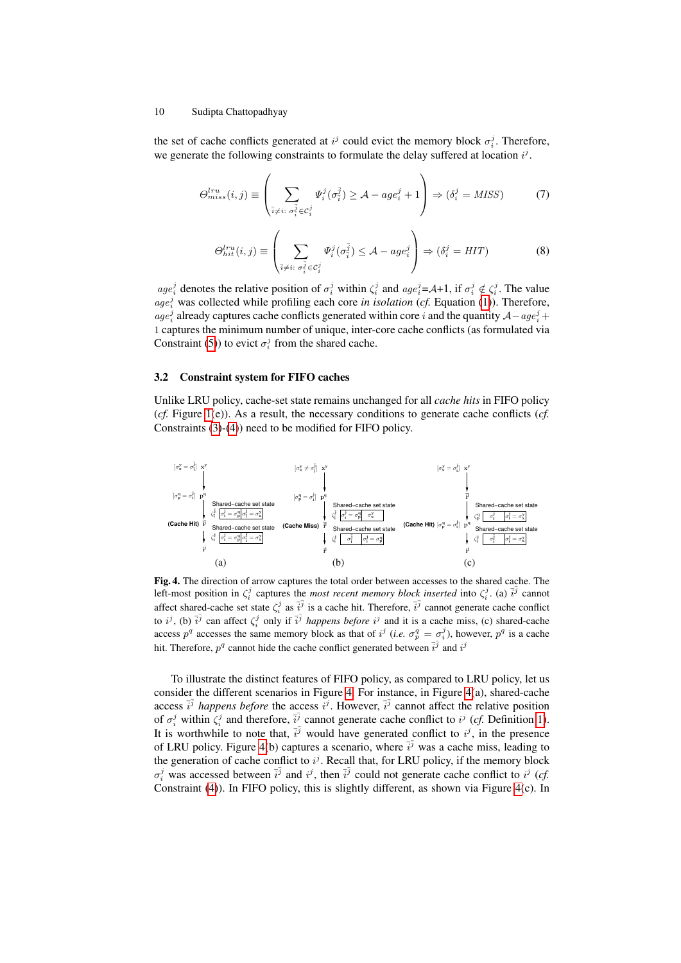the set of cache conflicts generated at  $i^j$  could evict the memory block  $\sigma_i^j$ . Therefore, we generate the following constraints to formulate the delay suffered at location  $i^j$ .

<span id="page-9-1"></span>
$$
\Theta_{miss}^{lru}(i,j) \equiv \left(\sum_{\bar{i}\neq i:\ \sigma_i^{\bar{j}} \in \mathcal{C}_i^j} \Psi_i^j(\sigma_i^{\bar{j}}) \ge \mathcal{A} - age_i^j + 1\right) \Rightarrow (\delta_i^j = MISS)
$$
 (7)

<span id="page-9-2"></span>
$$
\Theta_{hit}^{lru}(i,j) \equiv \left(\sum_{\bar{i} \neq i: \ \sigma_i^{\bar{j}} \in C_i^j} \Psi_i^j(\sigma_i^{\bar{j}}) \leq \mathcal{A} - age_i^j\right) \Rightarrow (\delta_i^j = HIT) \tag{8}
$$

age<sup>*i*</sup> denotes the relative position of  $\sigma_i^j$  within  $\zeta_i^j$  and age<sup>*i*</sup>=A+1, if  $\sigma_i^j \notin \zeta_i^j$ . The value  $age<sub>i</sub><sup>j</sup>$  was collected while profiling each core *in isolation* (*cf.* Equation [\(1\)](#page-6-0)). Therefore, age<sup>2</sup> already captures cache conflicts generated within core *i* and the quantity  $A - age^j_i +$ 1 captures the minimum number of unique, inter-core cache conflicts (as formulated via Constraint [\(5\)](#page-8-2)) to evict  $\sigma_i^j$  from the shared cache.

## <span id="page-9-3"></span>3.2 Constraint system for FIFO caches

Unlike LRU policy, cache-set state remains unchanged for all *cache hits* in FIFO policy (*cf.* Figure [1\(](#page-4-0)e)). As a result, the necessary conditions to generate cache conflicts (*cf.* Constraints [\(3\)](#page-8-0)-[\(4\)](#page-8-1)) need to be modified for FIFO policy.



<span id="page-9-0"></span>Fig. 4. The direction of arrow captures the total order between accesses to the shared cache. The left-most position in  $\zeta_i^j$  captures the *most recent memory block inserted* into  $\zeta_i^j$ . (a)  $\bar{i}^j$  cannot affect shared-cache set state  $\zeta_i^j$  as  $\bar{i}^{\bar{j}}$  is a cache hit. Therefore,  $\bar{i}^{\bar{j}}$  cannot generate cache conflict to  $i^j$ , (b)  $\overline{i}^j$  can affect  $\zeta_i^j$  only if  $\overline{i}^j$  *happens before*  $i^j$  and it is a cache miss, (c) shared-cache access  $p^q$  accesses the same memory block as that of  $i^j$  (*i.e.*  $\sigma_p^q = \sigma_i^j$ ), however,  $p^q$  is a cache hit. Therefore,  $p^q$  cannot hide the cache conflict generated between  $\bar{i}^{\bar{j}}$  and  $i^j$ 

To illustrate the distinct features of FIFO policy, as compared to LRU policy, let us consider the different scenarios in Figure [4.](#page-9-0) For instance, in Figure [4\(](#page-9-0)a), shared-cache access  $\bar{i}^{\bar{j}}$  *happens before* the access  $i^{\bar{j}}$ . However,  $\bar{i}^{\bar{j}}$  cannot affect the relative position of  $\sigma_i^j$  within  $\zeta_i^j$  and therefore,  $\bar{i}^{\bar{j}}$  cannot generate cache conflict to  $i^j$  (*cf.* Definition [1\)](#page-7-0). It is worthwhile to note that,  $\bar{i}^{\bar{j}}$  would have generated conflict to  $i^j$ , in the presence of LRU policy. Figure [4\(](#page-9-0)b) captures a scenario, where  $\bar{i}^{\bar{j}}$  was a cache miss, leading to the generation of cache conflict to  $i<sup>j</sup>$ . Recall that, for LRU policy, if the memory block  $\sigma_i^j$  was accessed between  $\bar{i}^{\bar{j}}$  and  $i^j$ , then  $\bar{i}^{\bar{j}}$  could not generate cache conflict to  $i^j$  (*cf.* Constraint [\(4\)](#page-8-1)). In FIFO policy, this is slightly different, as shown via Figure [4\(](#page-9-0)c). In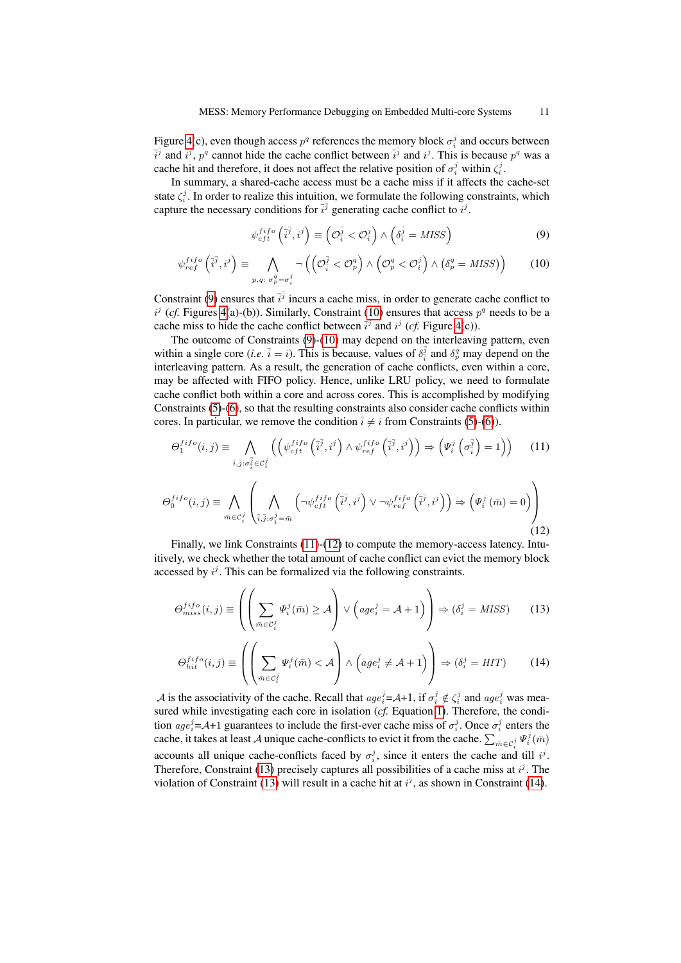Figure [4\(](#page-9-0)c), even though access  $p^q$  references the memory block  $\sigma_i^j$  and occurs between  $\bar{i}^{\bar{j}}$  and  $i^j$ ,  $p^q$  cannot hide the cache conflict between  $\bar{i}^{\bar{j}}$  and  $i^j$ . This is because  $p^q$  was a cache hit and therefore, it does not affect the relative position of  $\sigma_i^j$  within  $\zeta_i^j$ .

In summary, a shared-cache access must be a cache miss if it affects the cache-set state  $\zeta_i^j$ . In order to realize this intuition, we formulate the following constraints, which capture the necessary conditions for  $\overline{i}^{\overline{j}}$  generating cache conflict to  $\overline{i}^{\overline{j}}$ .

<span id="page-10-0"></span>
$$
\psi_{cft}^{fifo} \left( \bar{i}^{\bar{j}}, i^{\bar{j}} \right) \equiv \left( \mathcal{O}_i^{\bar{j}} < \mathcal{O}_i^{\bar{j}} \right) \wedge \left( \delta_i^{\bar{j}} = MISS \right) \tag{9}
$$

<span id="page-10-1"></span>
$$
\psi_{ref}^{fifo} \left( \bar{i}^j, i^j \right) \equiv \bigwedge_{p,q: \sigma_p^q = \sigma_i^j} \neg \left( \left( \mathcal{O}_i^{\bar{j}} < \mathcal{O}_p^q \right) \land \left( \mathcal{O}_p^q < \mathcal{O}_i^j \right) \land \left( \delta_p^q = MISS \right) \right) \tag{10}
$$

Constraint [\(9\)](#page-10-0) ensures that  $\bar{i}$  incurs a cache miss, in order to generate cache conflict to  $i^j$  (cf. Figures [4\(](#page-9-0)a)-(b)). Similarly, Constraint [\(10\)](#page-10-1) ensures that access  $p^q$  needs to be a cache miss to hide the cache conflict between  $\bar{i}^{\bar{j}}$  and  $i^j$  (*cf.* Figure [4\(](#page-9-0)c)).

The outcome of Constraints [\(9\)](#page-10-0)-[\(10\)](#page-10-1) may depend on the interleaving pattern, even within a single core (*i.e.*  $\bar{i} = i$ ). This is because, values of  $\delta_{\bar{i}}^{\bar{j}}$  and  $\delta_p^q$  may depend on the interleaving pattern. As a result, the generation of cache conflicts, even within a core, may be affected with FIFO policy. Hence, unlike LRU policy, we need to formulate cache conflict both within a core and across cores. This is accomplished by modifying Constraints [\(5\)](#page-8-2)-[\(6\)](#page-8-3), so that the resulting constraints also consider cache conflicts within cores. In particular, we remove the condition  $\overline{i} \neq i$  from Constraints [\(5\)](#page-8-2)-[\(6\)](#page-8-3)).

<span id="page-10-2"></span>
$$
\Theta_1^{fifo}(i,j) \equiv \bigwedge_{\vec{i},\vec{j}:\sigma_{\vec{i}}^{\vec{j}} \in C_i^j} \left( \left( \psi_{cft}^{fifo} \left( \vec{i}^j, i^j \right) \wedge \psi_{ref}^{fifo} \left( \vec{i}^j, i^j \right) \right) \Rightarrow \left( \Psi_i^j \left( \sigma_i^{\vec{j}} \right) = 1 \right) \right) \tag{11}
$$

<span id="page-10-3"></span>
$$
\Theta_0^{fifo}(i,j) \equiv \bigwedge_{\bar{m}\in\mathcal{C}_i^j} \left( \bigwedge_{\bar{i},\bar{j}:\sigma_i^{\bar{j}}=\bar{m}} \left( \neg \psi_{cft}^{fifo}\left(\bar{i}^{\bar{j}},i^j\right) \vee \neg \psi_{ref}^{fifo}\left(\bar{i}^{\bar{j}},i^j\right) \right) \Rightarrow \left( \Psi_i^j\left(\bar{m}\right)=0 \right) \right)
$$
\n(12)

Finally, we link Constraints [\(11\)](#page-10-2)-[\(12\)](#page-10-3) to compute the memory-access latency. Intuitively, we check whether the total amount of cache conflict can evict the memory block accessed by  $i^j$ . This can be formalized via the following constraints.

<span id="page-10-4"></span>
$$
\Theta_{miss}^{fifo}(i,j) \equiv \left( \left( \sum_{\bar{m} \in C_i^j} \Psi_i^j(\bar{m}) \ge A \right) \vee \left( age_i^j = A + 1 \right) \right) \Rightarrow (\delta_i^j = MISS) \tag{13}
$$

<span id="page-10-5"></span>
$$
\Theta_{hit}^{fifo}(i,j) \equiv \left( \left( \sum_{\bar{m} \in C_i^j} \Psi_i^j(\bar{m}) < \mathcal{A} \right) \land \left( age_i^j \neq \mathcal{A} + 1 \right) \right) \Rightarrow (\delta_i^j = HIT) \tag{14}
$$

A is the associativity of the cache. Recall that  $age_i^j = A+1$ , if  $\sigma_i^j \notin \zeta_i^j$  and  $age_i^j$  was measured while investigating each core in isolation (*cf.* Equation [1\)](#page-6-0). Therefore, the condition  $age_i^j = A+1$  guarantees to include the first-ever cache miss of  $\sigma_i^j$ . Once  $\sigma_i^j$  enters the cache, it takes at least A unique cache-conflicts to evict it from the cache.  $\sum_{\bar{m}\in C_i^j}\Psi_i^j(\bar{m})$ accounts all unique cache-conflicts faced by  $\sigma_i^j$ , since it enters the cache and till  $i^j$ . Therefore, Constraint [\(13\)](#page-10-4) precisely captures all possibilities of a cache miss at  $i^j$ . The violation of Constraint [\(13\)](#page-10-4) will result in a cache hit at  $i^j$ , as shown in Constraint [\(14\)](#page-10-5).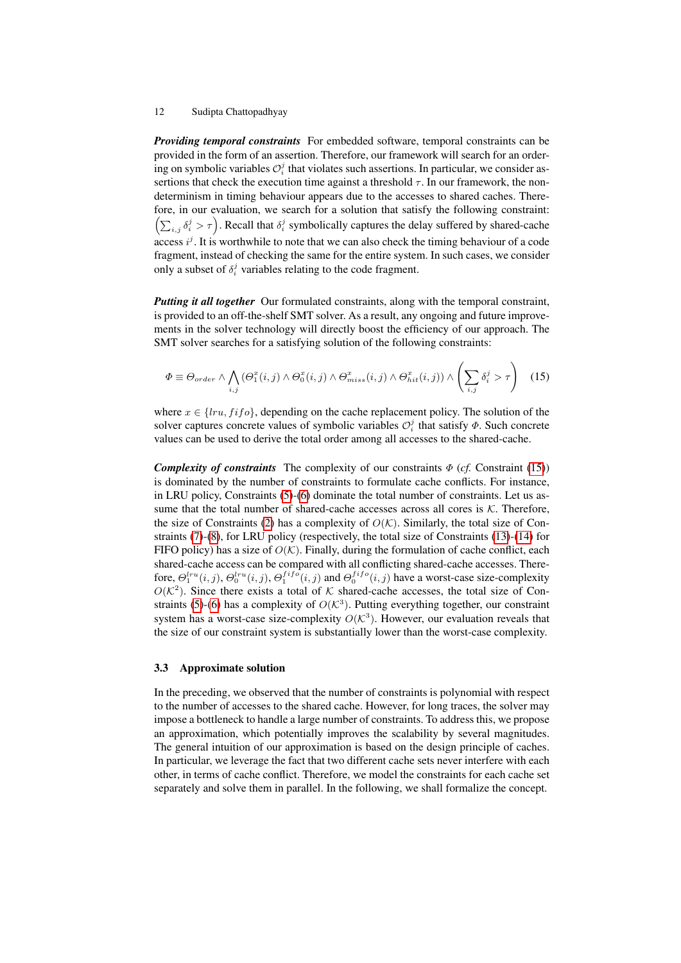*Providing temporal constraints* For embedded software, temporal constraints can be provided in the form of an assertion. Therefore, our framework will search for an ordering on symbolic variables  $\mathcal{O}_i^j$  that violates such assertions. In particular, we consider assertions that check the execution time against a threshold  $\tau$ . In our framework, the nondeterminism in timing behaviour appears due to the accesses to shared caches. Therefore, in our evaluation, we search for a solution that satisfy the following constraint:  $\left(\sum_{i,j} \delta_i^j > \tau\right)$ . Recall that  $\delta_i^j$  symbolically captures the delay suffered by shared-cache access  $i^j$ . It is worthwhile to note that we can also check the timing behaviour of a code fragment, instead of checking the same for the entire system. In such cases, we consider only a subset of  $\delta_i^j$  variables relating to the code fragment.

*Putting it all together* Our formulated constraints, along with the temporal constraint, is provided to an off-the-shelf SMT solver. As a result, any ongoing and future improvements in the solver technology will directly boost the efficiency of our approach. The SMT solver searches for a satisfying solution of the following constraints:

<span id="page-11-0"></span>
$$
\Phi \equiv \Theta_{order} \wedge \bigwedge_{i,j} (\Theta_1^x(i,j) \wedge \Theta_0^x(i,j) \wedge \Theta_{miss}^x(i,j) \wedge \Theta_{hit}^x(i,j)) \wedge \left(\sum_{i,j} \delta_i^j > \tau\right) \tag{15}
$$

where  $x \in \{lru, fifo\}$ , depending on the cache replacement policy. The solution of the solver captures concrete values of symbolic variables  $\mathcal{O}_i^j$  that satisfy  $\Phi$ . Such concrete values can be used to derive the total order among all accesses to the shared-cache.

*Complexity of constraints* The complexity of our constraints  $\Phi$  (*cf.* Constraint [\(15\)](#page-11-0)) is dominated by the number of constraints to formulate cache conflicts. For instance, in LRU policy, Constraints [\(5\)](#page-8-2)-[\(6\)](#page-8-3) dominate the total number of constraints. Let us assume that the total number of shared-cache accesses across all cores is  $K$ . Therefore, the size of Constraints [\(2\)](#page-7-2) has a complexity of  $O(K)$ . Similarly, the total size of Constraints [\(7\)](#page-9-1)-[\(8\)](#page-9-2), for LRU policy (respectively, the total size of Constraints [\(13\)](#page-10-4)-[\(14\)](#page-10-5) for FIFO policy) has a size of  $O(K)$ . Finally, during the formulation of cache conflict, each shared-cache access can be compared with all conflicting shared-cache accesses. Therefore,  $\Theta_1^{Iru}(i,j)$ ,  $\Theta_0^{Iru}(i,j)$ ,  $\Theta_1^{fifo}(i,j)$  and  $\Theta_0^{fifo}(i,j)$  have a worst-case size-complexity  $O(K^2)$ . Since there exists a total of K shared-cache accesses, the total size of Con-straints [\(5\)](#page-8-2)-[\(6\)](#page-8-3) has a complexity of  $O(K^3)$ . Putting everything together, our constraint system has a worst-case size-complexity  $O(K^3)$ . However, our evaluation reveals that the size of our constraint system is substantially lower than the worst-case complexity.

### 3.3 Approximate solution

In the preceding, we observed that the number of constraints is polynomial with respect to the number of accesses to the shared cache. However, for long traces, the solver may impose a bottleneck to handle a large number of constraints. To address this, we propose an approximation, which potentially improves the scalability by several magnitudes. The general intuition of our approximation is based on the design principle of caches. In particular, we leverage the fact that two different cache sets never interfere with each other, in terms of cache conflict. Therefore, we model the constraints for each cache set separately and solve them in parallel. In the following, we shall formalize the concept.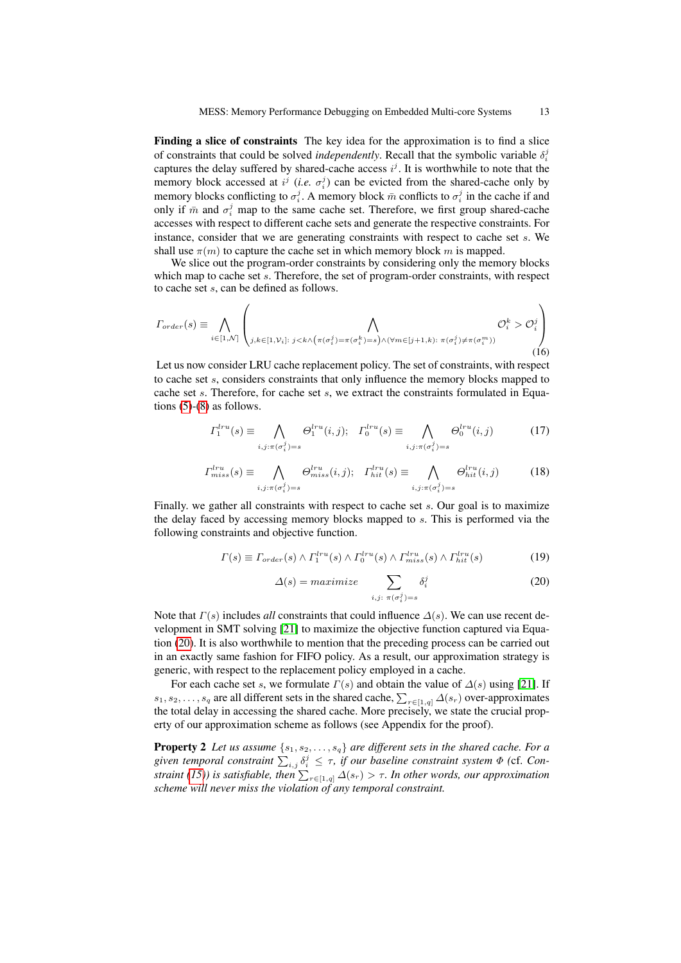Finding a slice of constraints The key idea for the approximation is to find a slice of constraints that could be solved *independently*. Recall that the symbolic variable  $\delta_i^j$ captures the delay suffered by shared-cache access  $i^j$ . It is worthwhile to note that the memory block accessed at  $i^j$  (*i.e.*  $\sigma_i^j$ ) can be evicted from the shared-cache only by memory blocks conflicting to  $\sigma_i^j$ . A memory block  $\bar{m}$  conflicts to  $\sigma_i^j$  in the cache if and only if  $\bar{m}$  and  $\sigma_i^j$  map to the same cache set. Therefore, we first group shared-cache accesses with respect to different cache sets and generate the respective constraints. For instance, consider that we are generating constraints with respect to cache set s. We shall use  $\pi(m)$  to capture the cache set in which memory block m is mapped.

We slice out the program-order constraints by considering only the memory blocks which map to cache set s. Therefore, the set of program-order constraints, with respect to cache set s, can be defined as follows.

<span id="page-12-2"></span>
$$
T_{order}(s) \equiv \bigwedge_{i \in [1,\mathcal{N}]} \left( \bigwedge_{j,k \in [1,\mathcal{V}_i]: j < k \land (\pi(\sigma_i^j) = \pi(\sigma_i^k) = s) \land (\forall m \in [j+1,k): \pi(\sigma_i^j) \neq \pi(\sigma_i^m))} \mathcal{O}_i^k > \mathcal{O}_i^j \right)
$$
\n
$$
(16)
$$

Let us now consider LRU cache replacement policy. The set of constraints, with respect to cache set s, considers constraints that only influence the memory blocks mapped to cache set s. Therefore, for cache set s, we extract the constraints formulated in Equations  $(5)-(8)$  $(5)-(8)$  $(5)-(8)$  as follows.

<span id="page-12-4"></span>
$$
\Gamma_1^{lru}(s) \equiv \bigwedge_{i,j:\pi(\sigma_i^j)=s} \Theta_1^{lru}(i,j); \quad \Gamma_0^{lru}(s) \equiv \bigwedge_{i,j:\pi(\sigma_i^j)=s} \Theta_0^{lru}(i,j) \tag{17}
$$

<span id="page-12-3"></span>
$$
\Gamma_{miss}^{lru}(s) \equiv \bigwedge_{i,j:\pi(\sigma_i^j)=s} \Theta_{miss}^{lru}(i,j); \quad \Gamma_{hit}^{lru}(s) \equiv \bigwedge_{i,j:\pi(\sigma_i^j)=s} \Theta_{hit}^{lru}(i,j) \tag{18}
$$

Finally. we gather all constraints with respect to cache set  $s$ . Our goal is to maximize the delay faced by accessing memory blocks mapped to s. This is performed via the following constraints and objective function.

<span id="page-12-1"></span>
$$
\Gamma(s) \equiv \Gamma_{order}(s) \wedge \Gamma_1^{lru}(s) \wedge \Gamma_0^{lru}(s) \wedge \Gamma_{miss}^{lru}(s) \wedge \Gamma_{hit}^{lru}(s)
$$
\n(19)

<span id="page-12-0"></span>
$$
\Delta(s) = \underset{i,j: \ \pi(\sigma_i^j) = s}{\operatorname{maximize}} \quad \sum_{i,j: \ \pi(\sigma_i^j) = s} \delta_i^j \tag{20}
$$

Note that  $\Gamma(s)$  includes *all* constraints that could influence  $\Delta(s)$ . We can use recent development in SMT solving [\[21\]](#page-18-6) to maximize the objective function captured via Equation [\(20\)](#page-12-0). It is also worthwhile to mention that the preceding process can be carried out in an exactly same fashion for FIFO policy. As a result, our approximation strategy is generic, with respect to the replacement policy employed in a cache.

For each cache set s, we formulate  $\Gamma(s)$  and obtain the value of  $\Delta(s)$  using [\[21\]](#page-18-6). If  $s_1, s_2, \ldots, s_q$  are all different sets in the shared cache,  $\sum_{r \in [1,q]} \Delta(s_r)$  over-approximates the total delay in accessing the shared cache. More precisely, we state the crucial property of our approximation scheme as follows (see Appendix for the proof).

**Property 2** Let us assume  $\{s_1, s_2, \ldots, s_q\}$  are different sets in the shared cache. For a given temporal constraint  $\sum_{i,j} \delta_i^j \leq \tau$ , if our baseline constraint system  $\Phi$  (cf. Con*straint* [\(15\)](#page-11-0)) is satisfiable, then  $\sum_{r \in [1,q]} \Delta(s_r) > \tau$ . In other words, our approximation *scheme will never miss the violation of any temporal constraint.*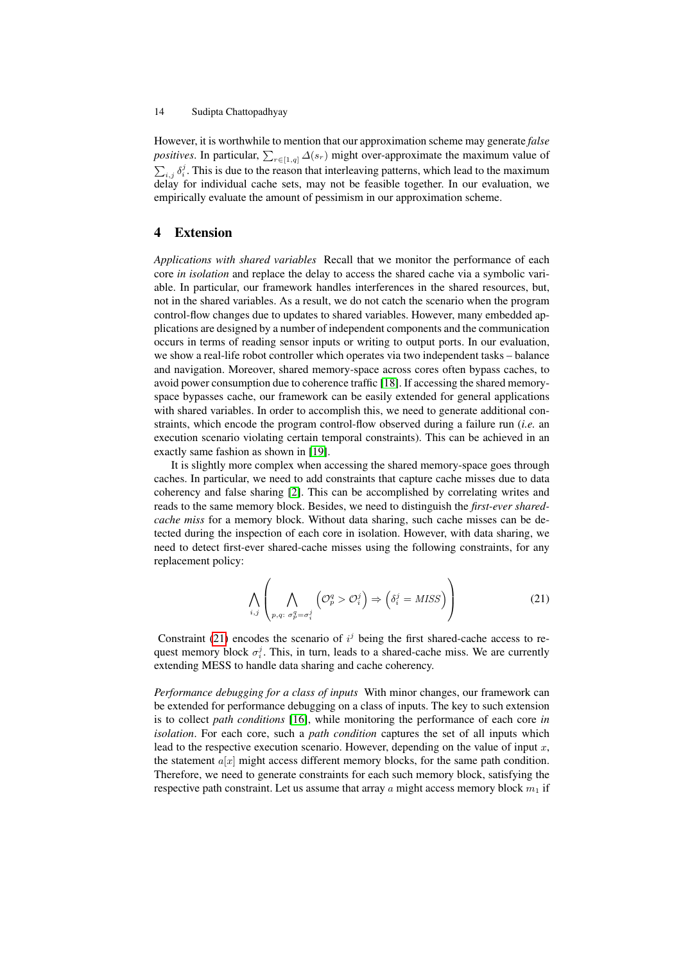However, it is worthwhile to mention that our approximation scheme may generate *false positives*. In particular,  $\sum_{r \in [1,q]} \Delta(s_r)$  might over-approximate the maximum value of  $\sum_{i,j} \delta_i^j$ . This is due to the reason that interleaving patterns, which lead to the maximum delay for individual cache sets, may not be feasible together. In our evaluation, we empirically evaluate the amount of pessimism in our approximation scheme.

## <span id="page-13-0"></span>4 Extension

*Applications with shared variables* Recall that we monitor the performance of each core *in isolation* and replace the delay to access the shared cache via a symbolic variable. In particular, our framework handles interferences in the shared resources, but, not in the shared variables. As a result, we do not catch the scenario when the program control-flow changes due to updates to shared variables. However, many embedded applications are designed by a number of independent components and the communication occurs in terms of reading sensor inputs or writing to output ports. In our evaluation, we show a real-life robot controller which operates via two independent tasks – balance and navigation. Moreover, shared memory-space across cores often bypass caches, to avoid power consumption due to coherence traffic [\[18\]](#page-18-7). If accessing the shared memoryspace bypasses cache, our framework can be easily extended for general applications with shared variables. In order to accomplish this, we need to generate additional constraints, which encode the program control-flow observed during a failure run (*i.e.* an execution scenario violating certain temporal constraints). This can be achieved in an exactly same fashion as shown in [\[19\]](#page-18-8).

It is slightly more complex when accessing the shared memory-space goes through caches. In particular, we need to add constraints that capture cache misses due to data coherency and false sharing [\[2\]](#page-18-5). This can be accomplished by correlating writes and reads to the same memory block. Besides, we need to distinguish the *first-ever sharedcache miss* for a memory block. Without data sharing, such cache misses can be detected during the inspection of each core in isolation. However, with data sharing, we need to detect first-ever shared-cache misses using the following constraints, for any replacement policy:

<span id="page-13-1"></span>
$$
\bigwedge_{i,j} \left( \bigwedge_{p,q: \sigma_p^q = \sigma_i^j} \left( \mathcal{O}_p^q > \mathcal{O}_i^j \right) \Rightarrow \left( \delta_i^j = MISS \right) \right) \tag{21}
$$

Constraint [\(21\)](#page-13-1) encodes the scenario of  $i^j$  being the first shared-cache access to request memory block  $\sigma_i^j$ . This, in turn, leads to a shared-cache miss. We are currently extending MESS to handle data sharing and cache coherency.

*Performance debugging for a class of inputs* With minor changes, our framework can be extended for performance debugging on a class of inputs. The key to such extension is to collect *path conditions* [\[16\]](#page-18-9), while monitoring the performance of each core *in isolation*. For each core, such a *path condition* captures the set of all inputs which lead to the respective execution scenario. However, depending on the value of input  $x$ , the statement  $a[x]$  might access different memory blocks, for the same path condition. Therefore, we need to generate constraints for each such memory block, satisfying the respective path constraint. Let us assume that array a might access memory block  $m_1$  if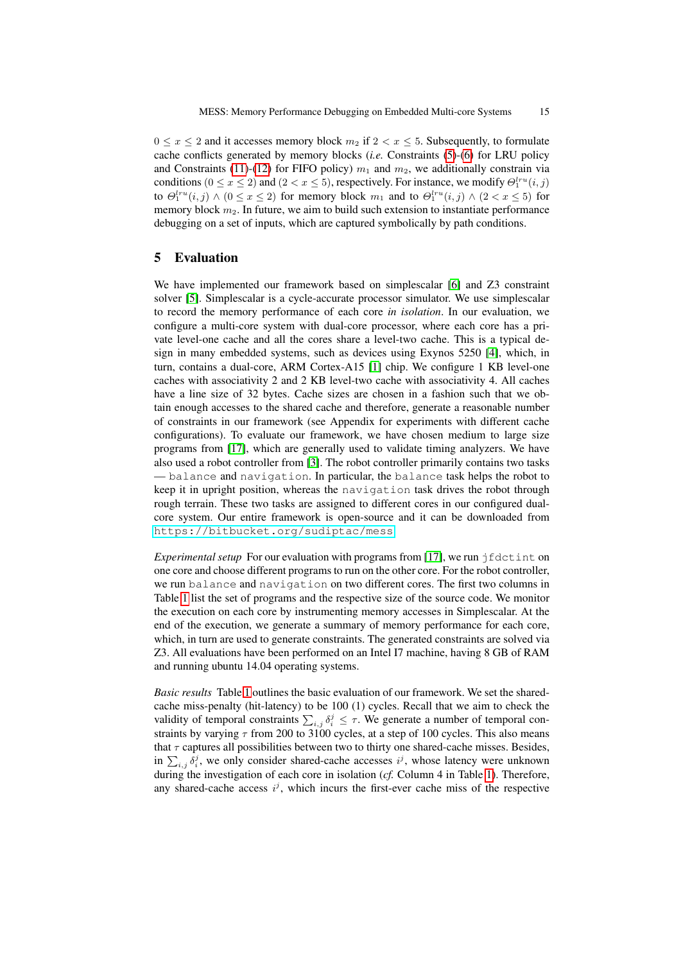$0 \le x \le 2$  and it accesses memory block  $m_2$  if  $2 < x \le 5$ . Subsequently, to formulate cache conflicts generated by memory blocks (*i.e.* Constraints [\(5\)](#page-8-2)-[\(6\)](#page-8-3) for LRU policy and Constraints [\(11\)](#page-10-2)-[\(12\)](#page-10-3) for FIFO policy)  $m_1$  and  $m_2$ , we additionally constrain via conditions  $(0 \le x \le 2)$  and  $(2 < x \le 5)$ , respectively. For instance, we modify  $\Theta_1^{lru}(i, j)$ to  $\Theta_1^{lru}(i,j) \wedge (0 \le x \le 2)$  for memory block  $m_1$  and to  $\Theta_1^{lru}(i,j) \wedge (2 < x \le 5)$  for memory block  $m_2$ . In future, we aim to build such extension to instantiate performance debugging on a set of inputs, which are captured symbolically by path conditions.

## 5 Evaluation

We have implemented our framework based on simplescalar [\[6\]](#page-18-1) and Z3 constraint solver [\[5\]](#page-18-2). Simplescalar is a cycle-accurate processor simulator. We use simplescalar to record the memory performance of each core *in isolation*. In our evaluation, we configure a multi-core system with dual-core processor, where each core has a private level-one cache and all the cores share a level-two cache. This is a typical design in many embedded systems, such as devices using Exynos 5250 [\[4\]](#page-18-10), which, in turn, contains a dual-core, ARM Cortex-A15 [\[1\]](#page-18-4) chip. We configure 1 KB level-one caches with associativity 2 and 2 KB level-two cache with associativity 4. All caches have a line size of 32 bytes. Cache sizes are chosen in a fashion such that we obtain enough accesses to the shared cache and therefore, generate a reasonable number of constraints in our framework (see Appendix for experiments with different cache configurations). To evaluate our framework, we have chosen medium to large size programs from [\[17\]](#page-18-11), which are generally used to validate timing analyzers. We have also used a robot controller from [\[3\]](#page-18-3). The robot controller primarily contains two tasks — balance and navigation. In particular, the balance task helps the robot to keep it in upright position, whereas the navigation task drives the robot through rough terrain. These two tasks are assigned to different cores in our configured dualcore system. Our entire framework is open-source and it can be downloaded from <https://bitbucket.org/sudiptac/mess>.

*Experimental setup* For our evaluation with programs from [\[17\]](#page-18-11), we run  $\hat{\tau}$  fdctint on one core and choose different programs to run on the other core. For the robot controller, we run balance and navigation on two different cores. The first two columns in Table [1](#page-15-0) list the set of programs and the respective size of the source code. We monitor the execution on each core by instrumenting memory accesses in Simplescalar. At the end of the execution, we generate a summary of memory performance for each core, which, in turn are used to generate constraints. The generated constraints are solved via Z3. All evaluations have been performed on an Intel I7 machine, having 8 GB of RAM and running ubuntu 14.04 operating systems.

*Basic results* Table [1](#page-15-0) outlines the basic evaluation of our framework. We set the sharedcache miss-penalty (hit-latency) to be 100 (1) cycles. Recall that we aim to check the validity of temporal constraints  $\sum_{i,j} \delta_i^j \leq \tau$ . We generate a number of temporal constraints by varying  $\tau$  from 200 to 3100 cycles, at a step of 100 cycles. This also means that  $\tau$  captures all possibilities between two to thirty one shared-cache misses. Besides, in  $\sum_{i,j} \delta_i^j$ , we only consider shared-cache accesses  $i^j$ , whose latency were unknown during the investigation of each core in isolation (*cf.* Column 4 in Table [1\)](#page-15-0). Therefore, any shared-cache access  $i^j$ , which incurs the first-ever cache miss of the respective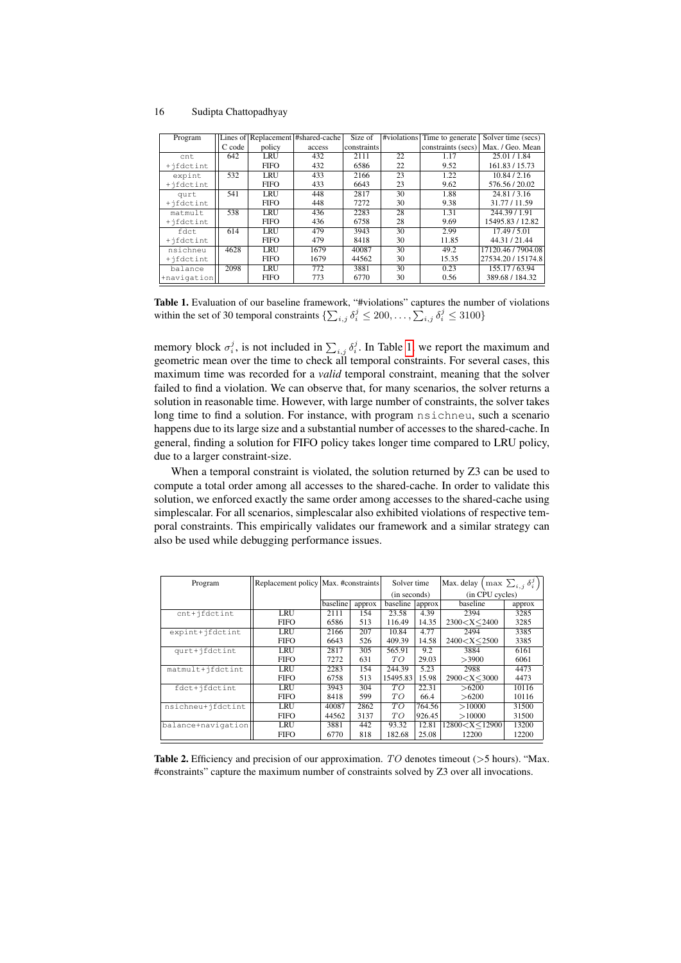| Program     |        |             | Lines of Replacement #shared-cache | Size of     |              | #violations Time to generate | Solver time (secs) |
|-------------|--------|-------------|------------------------------------|-------------|--------------|------------------------------|--------------------|
|             | C code | policy      | access                             | constraints |              | constraints (secs)           | Max. / Geo. Mean   |
| cnt         | 642    | <b>LRU</b>  | 432                                | 2111        | 22           | 1.17                         | 25.01 / 1.84       |
| +jfdctint   |        | <b>FIFO</b> | 432                                | 6586        | 22           | 9.52                         | 161.83/15.73       |
| expint      | 532    | LRU         | 433                                | 2166        | 23           | 1.22                         | 10.84 / 2.16       |
| +jfdctint   |        | <b>FIFO</b> | 433                                | 6643        | 23           | 9.62                         | 576.56 / 20.02     |
| qurt        | 541    | <b>LRU</b>  | 448                                | 2817        | $30^{\circ}$ | 1.88                         | 24.81 / 3.16       |
| +jfdctint   |        | <b>FIFO</b> | 448                                | 7272        | 30           | 9.38                         | 31.77 / 11.59      |
| matmult     | 538    | <b>LRU</b>  | 436                                | 2283        | 28           | 1.31                         | 244.39 / 1.91      |
| +ifdctint   |        | <b>FIFO</b> | 436                                | 6758        | 28           | 9.69                         | 15495.83 / 12.82   |
| fdct        | 614    | <b>LRU</b>  | 479                                | 3943        | 30           | 2.99                         | 17.49 / 5.01       |
| +ifdctint   |        | <b>FIFO</b> | 479                                | 8418        | 30           | 11.85                        | 44.31/21.44        |
| nsichneu    | 4628   | <b>LRU</b>  | 1679                               | 40087       | 30           | 49.2                         | 17120.46 / 7904.08 |
| +ifdctint   |        | <b>FIFO</b> | 1679                               | 44562       | 30           | 15.35                        | 27534.20 / 15174.8 |
| balance     | 2098   | <b>LRU</b>  | 772                                | 3881        | 30           | 0.23                         | 155.17/63.94       |
| +navigation |        | <b>FIFO</b> | 773                                | 6770        | 30           | 0.56                         | 389.68 / 184.32    |

<span id="page-15-0"></span>Table 1. Evaluation of our baseline framework, "#violations" captures the number of violations within the set of 30 temporal constraints  $\{\sum_{i,j}\delta_i^j\leq 200,\ldots,\sum_{i,j}\delta_i^j\leq 3100\}$ 

memory block  $\sigma_i^j$ , is not included in  $\sum_{i,j} \delta_i^j$ . In Table [1,](#page-15-0) we report the maximum and geometric mean over the time to check all temporal constraints. For several cases, this maximum time was recorded for a *valid* temporal constraint, meaning that the solver failed to find a violation. We can observe that, for many scenarios, the solver returns a solution in reasonable time. However, with large number of constraints, the solver takes long time to find a solution. For instance, with program nsichneu, such a scenario happens due to its large size and a substantial number of accesses to the shared-cache. In general, finding a solution for FIFO policy takes longer time compared to LRU policy, due to a larger constraint-size.

When a temporal constraint is violated, the solution returned by Z3 can be used to compute a total order among all accesses to the shared-cache. In order to validate this solution, we enforced exactly the same order among accesses to the shared-cache using simplescalar. For all scenarios, simplescalar also exhibited violations of respective temporal constraints. This empirically validates our framework and a similar strategy can also be used while debugging performance issues.

| Program            | Replacement policy Max. #constraints |          |        | Solver time  |        | Max. delay        | $\max \sum_{i,j} \delta_i^j$ |
|--------------------|--------------------------------------|----------|--------|--------------|--------|-------------------|------------------------------|
|                    |                                      |          |        | (in seconds) |        | (in CPU cycles)   |                              |
|                    |                                      | baseline | approx | baseline     | approx | baseline          | approx                       |
| $cnt+ifdctint$     | <b>LRU</b>                           | 2111     | 154    | 23.58        | 4.39   | 2394              | 3285                         |
|                    | <b>FIFO</b>                          | 6586     | 513    | 116.49       | 14.35  | 2300 < X < 2400   | 3285                         |
| expint+ifdctint    | <b>LRU</b>                           | 2166     | 207    | 10.84        | 4.77   | 2494              | 3385                         |
|                    | <b>FIFO</b>                          | 6643     | 526    | 409.39       | 14.58  | 2400 < X < 2500   | 3385                         |
| qurt+jfdctint      | LRU                                  | 2817     | 305    | 565.91       | 9.2    | 3884              | 6161                         |
|                    | <b>FIFO</b>                          | 7272     | 631    | TO           | 29.03  | >3900             | 6061                         |
| matmult+jfdctint   | LRU                                  | 2283     | 154    | 244.39       | 5.23   | 2988              | 4473                         |
|                    | <b>FIFO</b>                          | 6758     | 513    | 15495.83     | 15.98  | 2900 < X < 3000   | 4473                         |
| fdct+jfdctint      | LRU                                  | 3943     | 304    | TО           | 22.31  | >6200             | 10116                        |
|                    | <b>FIFO</b>                          | 8418     | 599    | TO           | 66.4   | >6200             | 10116                        |
| nsichneu+jfdctint  | <b>LRU</b>                           | 40087    | 2862   | TO           | 764.56 | >10000            | 31500                        |
|                    | <b>FIFO</b>                          | 44562    | 3137   | TO           | 926.45 | >10000            | 31500                        |
| balance+navigation | <b>LRU</b>                           | 3881     | 442    | 93.32        | 12.81  | 12800 < X < 12900 | 13200                        |
|                    | <b>FIFO</b>                          | 6770     | 818    | 182.68       | 25.08  | 12200             | 12200                        |

<span id="page-15-1"></span>**Table 2.** Efficiency and precision of our approximation. TO denotes timeout ( $>$ 5 hours). "Max. #constraints" capture the maximum number of constraints solved by Z3 over all invocations.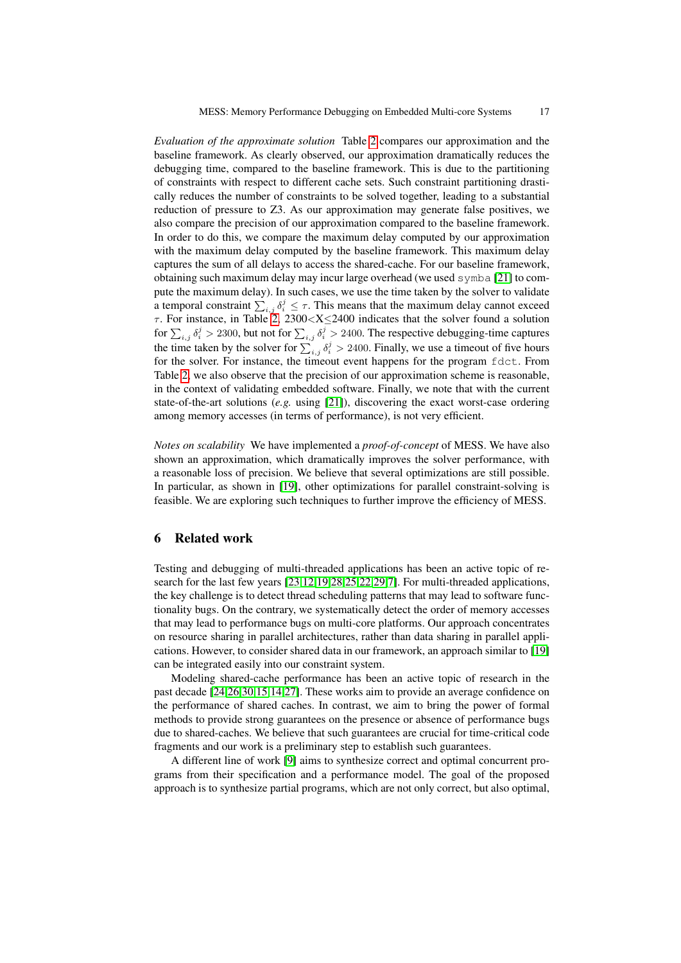*Evaluation of the approximate solution* Table [2](#page-15-1) compares our approximation and the baseline framework. As clearly observed, our approximation dramatically reduces the debugging time, compared to the baseline framework. This is due to the partitioning of constraints with respect to different cache sets. Such constraint partitioning drastically reduces the number of constraints to be solved together, leading to a substantial reduction of pressure to Z3. As our approximation may generate false positives, we also compare the precision of our approximation compared to the baseline framework. In order to do this, we compare the maximum delay computed by our approximation with the maximum delay computed by the baseline framework. This maximum delay captures the sum of all delays to access the shared-cache. For our baseline framework, obtaining such maximum delay may incur large overhead (we used symba [\[21\]](#page-18-6) to compute the maximum delay). In such cases, we use the time taken by the solver to validate a temporal constraint  $\sum_{i,j} \delta_i^j \leq \tau$ . This means that the maximum delay cannot exceed  $\tau$ . For instance, in Table [2,](#page-15-1) 2300<X  $\leq$  2400 indicates that the solver found a solution for  $\sum_{i,j} \delta_i^j > 2300$ , but not for  $\sum_{i,j} \delta_i^j > 2400$ . The respective debugging-time captures the time taken by the solver for  $\sum_{i,j} \delta_i^j > 2400$ . Finally, we use a timeout of five hours for the solver. For instance, the timeout event happens for the program fdct. From Table [2,](#page-15-1) we also observe that the precision of our approximation scheme is reasonable, in the context of validating embedded software. Finally, we note that with the current state-of-the-art solutions (*e.g.* using [\[21\]](#page-18-6)), discovering the exact worst-case ordering among memory accesses (in terms of performance), is not very efficient.

*Notes on scalability* We have implemented a *proof-of-concept* of MESS. We have also shown an approximation, which dramatically improves the solver performance, with a reasonable loss of precision. We believe that several optimizations are still possible. In particular, as shown in [\[19\]](#page-18-8), other optimizations for parallel constraint-solving is feasible. We are exploring such techniques to further improve the efficiency of MESS.

## 6 Related work

Testing and debugging of multi-threaded applications has been an active topic of research for the last few years [\[23,](#page-18-12)[12](#page-18-13)[,19](#page-18-8)[,28](#page-19-0)[,25](#page-19-1)[,22](#page-18-14)[,29,](#page-19-2)[7\]](#page-18-15). For multi-threaded applications, the key challenge is to detect thread scheduling patterns that may lead to software functionality bugs. On the contrary, we systematically detect the order of memory accesses that may lead to performance bugs on multi-core platforms. Our approach concentrates on resource sharing in parallel architectures, rather than data sharing in parallel applications. However, to consider shared data in our framework, an approach similar to [\[19\]](#page-18-8) can be integrated easily into our constraint system.

Modeling shared-cache performance has been an active topic of research in the past decade [\[24,](#page-19-3)[26,](#page-19-4)[30](#page-19-5)[,15](#page-18-16)[,14](#page-18-17)[,27\]](#page-19-6). These works aim to provide an average confidence on the performance of shared caches. In contrast, we aim to bring the power of formal methods to provide strong guarantees on the presence or absence of performance bugs due to shared-caches. We believe that such guarantees are crucial for time-critical code fragments and our work is a preliminary step to establish such guarantees.

A different line of work [\[9\]](#page-18-18) aims to synthesize correct and optimal concurrent programs from their specification and a performance model. The goal of the proposed approach is to synthesize partial programs, which are not only correct, but also optimal,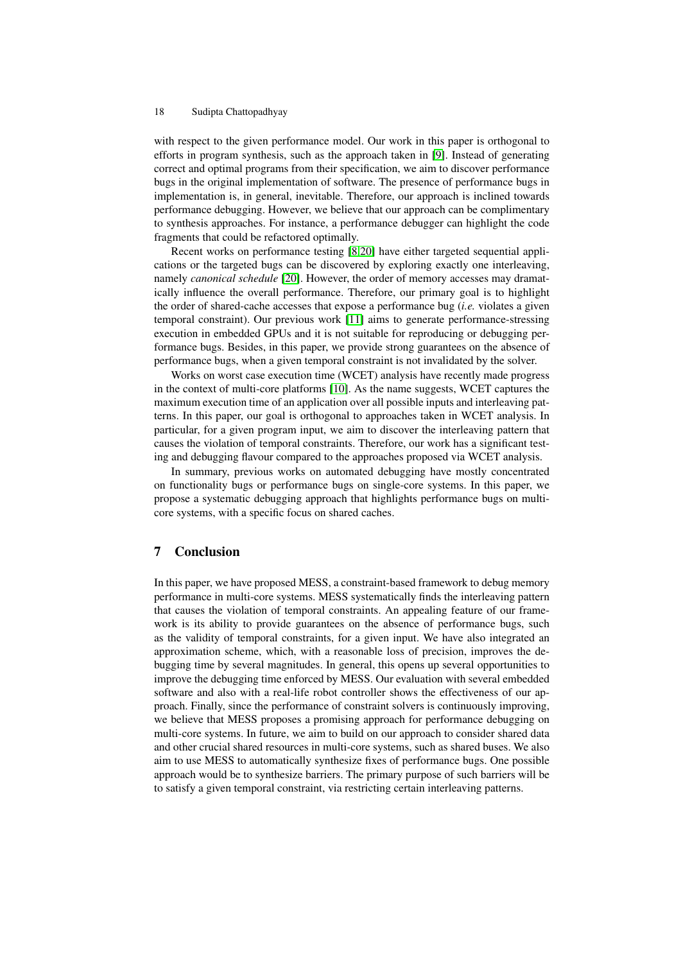with respect to the given performance model. Our work in this paper is orthogonal to efforts in program synthesis, such as the approach taken in [\[9\]](#page-18-18). Instead of generating correct and optimal programs from their specification, we aim to discover performance bugs in the original implementation of software. The presence of performance bugs in implementation is, in general, inevitable. Therefore, our approach is inclined towards performance debugging. However, we believe that our approach can be complimentary to synthesis approaches. For instance, a performance debugger can highlight the code fragments that could be refactored optimally.

Recent works on performance testing [\[8](#page-18-19)[,20\]](#page-18-20) have either targeted sequential applications or the targeted bugs can be discovered by exploring exactly one interleaving, namely *canonical schedule* [\[20\]](#page-18-20). However, the order of memory accesses may dramatically influence the overall performance. Therefore, our primary goal is to highlight the order of shared-cache accesses that expose a performance bug (*i.e.* violates a given temporal constraint). Our previous work [\[11\]](#page-18-21) aims to generate performance-stressing execution in embedded GPUs and it is not suitable for reproducing or debugging performance bugs. Besides, in this paper, we provide strong guarantees on the absence of performance bugs, when a given temporal constraint is not invalidated by the solver.

Works on worst case execution time (WCET) analysis have recently made progress in the context of multi-core platforms [\[10\]](#page-18-22). As the name suggests, WCET captures the maximum execution time of an application over all possible inputs and interleaving patterns. In this paper, our goal is orthogonal to approaches taken in WCET analysis. In particular, for a given program input, we aim to discover the interleaving pattern that causes the violation of temporal constraints. Therefore, our work has a significant testing and debugging flavour compared to the approaches proposed via WCET analysis.

In summary, previous works on automated debugging have mostly concentrated on functionality bugs or performance bugs on single-core systems. In this paper, we propose a systematic debugging approach that highlights performance bugs on multicore systems, with a specific focus on shared caches.

## 7 Conclusion

In this paper, we have proposed MESS, a constraint-based framework to debug memory performance in multi-core systems. MESS systematically finds the interleaving pattern that causes the violation of temporal constraints. An appealing feature of our framework is its ability to provide guarantees on the absence of performance bugs, such as the validity of temporal constraints, for a given input. We have also integrated an approximation scheme, which, with a reasonable loss of precision, improves the debugging time by several magnitudes. In general, this opens up several opportunities to improve the debugging time enforced by MESS. Our evaluation with several embedded software and also with a real-life robot controller shows the effectiveness of our approach. Finally, since the performance of constraint solvers is continuously improving, we believe that MESS proposes a promising approach for performance debugging on multi-core systems. In future, we aim to build on our approach to consider shared data and other crucial shared resources in multi-core systems, such as shared buses. We also aim to use MESS to automatically synthesize fixes of performance bugs. One possible approach would be to synthesize barriers. The primary purpose of such barriers will be to satisfy a given temporal constraint, via restricting certain interleaving patterns.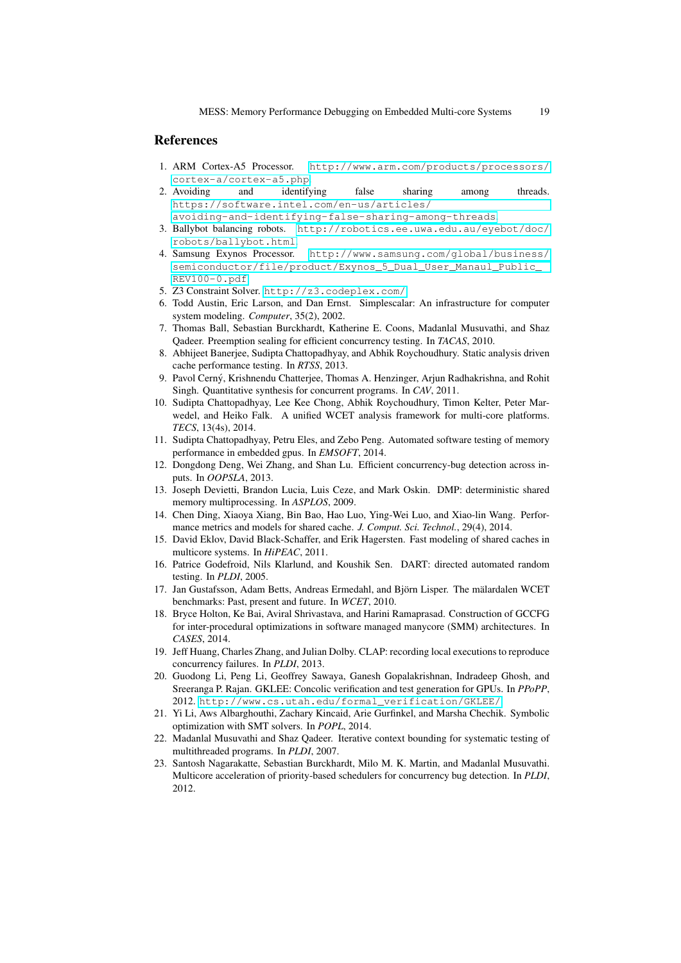## **References**

- <span id="page-18-4"></span>1. ARM Cortex-A5 Processor. [http://www.arm.com/products/processors/](http://www.arm.com/products/processors/cortex-a/cortex-a5.php) [cortex-a/cortex-a5.php](http://www.arm.com/products/processors/cortex-a/cortex-a5.php).
- <span id="page-18-5"></span>2. Avoiding and identifying false sharing among threads. [https://software.intel.com/en-us/articles/](https://software.intel.com/en-us/articles/avoiding-and-identifying-false-sharing-among-threads)
	- [avoiding-and-identifying-false-sharing-among-threads](https://software.intel.com/en-us/articles/avoiding-and-identifying-false-sharing-among-threads).
- <span id="page-18-3"></span>3. Ballybot balancing robots. [http://robotics.ee.uwa.edu.au/eyebot/doc/](http://robotics.ee.uwa.edu.au/eyebot/doc/robots/ballybot.html) [robots/ballybot.html](http://robotics.ee.uwa.edu.au/eyebot/doc/robots/ballybot.html).
- <span id="page-18-10"></span>4. Samsung Exynos Processor. [http://www.samsung.com/global/business/](http://www.samsung.com/global/business/semiconductor/file/product/Exynos_5_Dual_User_Manaul_Public_REV100-0.pdf) [semiconductor/file/product/Exynos\\_5\\_Dual\\_User\\_Manaul\\_Public\\_](http://www.samsung.com/global/business/semiconductor/file/product/Exynos_5_Dual_User_Manaul_Public_REV100-0.pdf) [REV100-0.pdf](http://www.samsung.com/global/business/semiconductor/file/product/Exynos_5_Dual_User_Manaul_Public_REV100-0.pdf).
- <span id="page-18-2"></span>5. Z3 Constraint Solver. <http://z3.codeplex.com/>.
- <span id="page-18-1"></span>6. Todd Austin, Eric Larson, and Dan Ernst. Simplescalar: An infrastructure for computer system modeling. *Computer*, 35(2), 2002.
- <span id="page-18-15"></span>7. Thomas Ball, Sebastian Burckhardt, Katherine E. Coons, Madanlal Musuvathi, and Shaz Qadeer. Preemption sealing for efficient concurrency testing. In *TACAS*, 2010.
- <span id="page-18-19"></span>8. Abhijeet Banerjee, Sudipta Chattopadhyay, and Abhik Roychoudhury. Static analysis driven cache performance testing. In *RTSS*, 2013.
- <span id="page-18-18"></span>9. Pavol Cerny, Krishnendu Chatterjee, Thomas A. Henzinger, Arjun Radhakrishna, and Rohit ´ Singh. Quantitative synthesis for concurrent programs. In *CAV*, 2011.
- <span id="page-18-22"></span>10. Sudipta Chattopadhyay, Lee Kee Chong, Abhik Roychoudhury, Timon Kelter, Peter Marwedel, and Heiko Falk. A unified WCET analysis framework for multi-core platforms. *TECS*, 13(4s), 2014.
- <span id="page-18-21"></span>11. Sudipta Chattopadhyay, Petru Eles, and Zebo Peng. Automated software testing of memory performance in embedded gpus. In *EMSOFT*, 2014.
- <span id="page-18-13"></span>12. Dongdong Deng, Wei Zhang, and Shan Lu. Efficient concurrency-bug detection across inputs. In *OOPSLA*, 2013.
- <span id="page-18-0"></span>13. Joseph Devietti, Brandon Lucia, Luis Ceze, and Mark Oskin. DMP: deterministic shared memory multiprocessing. In *ASPLOS*, 2009.
- <span id="page-18-17"></span>14. Chen Ding, Xiaoya Xiang, Bin Bao, Hao Luo, Ying-Wei Luo, and Xiao-lin Wang. Performance metrics and models for shared cache. *J. Comput. Sci. Technol.*, 29(4), 2014.
- <span id="page-18-16"></span>15. David Eklov, David Black-Schaffer, and Erik Hagersten. Fast modeling of shared caches in multicore systems. In *HiPEAC*, 2011.
- <span id="page-18-9"></span>16. Patrice Godefroid, Nils Klarlund, and Koushik Sen. DART: directed automated random testing. In *PLDI*, 2005.
- <span id="page-18-11"></span>17. Jan Gustafsson, Adam Betts, Andreas Ermedahl, and Björn Lisper. The mälardalen WCET benchmarks: Past, present and future. In *WCET*, 2010.
- <span id="page-18-7"></span>18. Bryce Holton, Ke Bai, Aviral Shrivastava, and Harini Ramaprasad. Construction of GCCFG for inter-procedural optimizations in software managed manycore (SMM) architectures. In *CASES*, 2014.
- <span id="page-18-8"></span>19. Jeff Huang, Charles Zhang, and Julian Dolby. CLAP: recording local executions to reproduce concurrency failures. In *PLDI*, 2013.
- <span id="page-18-20"></span>20. Guodong Li, Peng Li, Geoffrey Sawaya, Ganesh Gopalakrishnan, Indradeep Ghosh, and Sreeranga P. Rajan. GKLEE: Concolic verification and test generation for GPUs. In *PPoPP*, 2012. [http://www.cs.utah.edu/formal\\_verification/GKLEE/](http://www.cs.utah.edu/formal_verification/GKLEE/).
- <span id="page-18-6"></span>21. Yi Li, Aws Albarghouthi, Zachary Kincaid, Arie Gurfinkel, and Marsha Chechik. Symbolic optimization with SMT solvers. In *POPL*, 2014.
- <span id="page-18-14"></span>22. Madanlal Musuvathi and Shaz Qadeer. Iterative context bounding for systematic testing of multithreaded programs. In *PLDI*, 2007.
- <span id="page-18-12"></span>23. Santosh Nagarakatte, Sebastian Burckhardt, Milo M. K. Martin, and Madanlal Musuvathi. Multicore acceleration of priority-based schedulers for concurrency bug detection. In *PLDI*, 2012.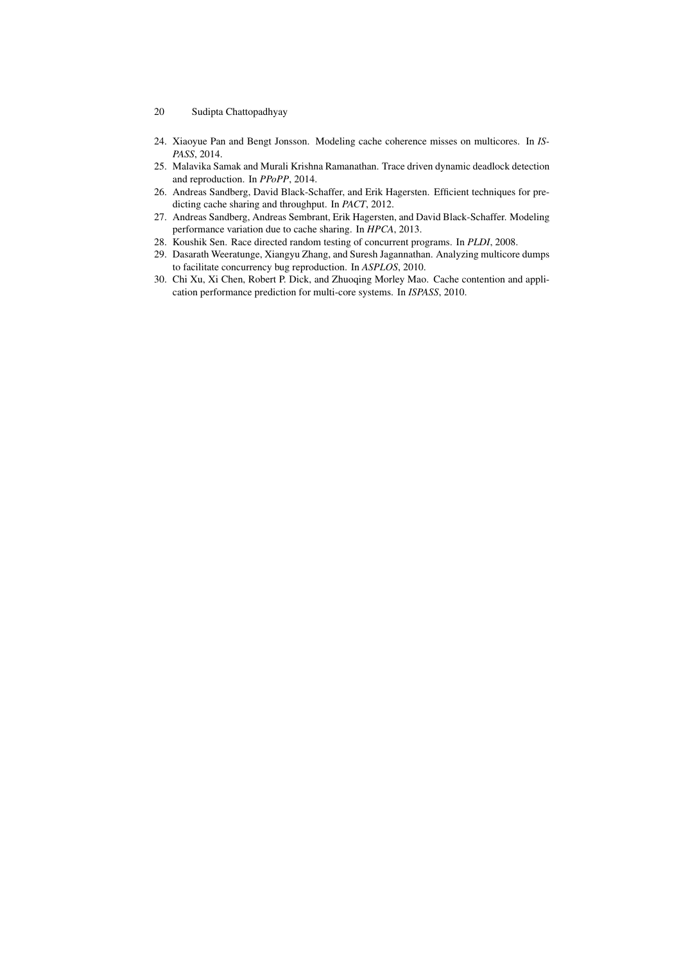- 20 Sudipta Chattopadhyay
- <span id="page-19-3"></span>24. Xiaoyue Pan and Bengt Jonsson. Modeling cache coherence misses on multicores. In *IS-PASS*, 2014.
- <span id="page-19-1"></span>25. Malavika Samak and Murali Krishna Ramanathan. Trace driven dynamic deadlock detection and reproduction. In *PPoPP*, 2014.
- <span id="page-19-4"></span>26. Andreas Sandberg, David Black-Schaffer, and Erik Hagersten. Efficient techniques for predicting cache sharing and throughput. In *PACT*, 2012.
- <span id="page-19-6"></span>27. Andreas Sandberg, Andreas Sembrant, Erik Hagersten, and David Black-Schaffer. Modeling performance variation due to cache sharing. In *HPCA*, 2013.
- <span id="page-19-0"></span>28. Koushik Sen. Race directed random testing of concurrent programs. In *PLDI*, 2008.
- <span id="page-19-2"></span>29. Dasarath Weeratunge, Xiangyu Zhang, and Suresh Jagannathan. Analyzing multicore dumps to facilitate concurrency bug reproduction. In *ASPLOS*, 2010.
- <span id="page-19-5"></span>30. Chi Xu, Xi Chen, Robert P. Dick, and Zhuoqing Morley Mao. Cache contention and application performance prediction for multi-core systems. In *ISPASS*, 2010.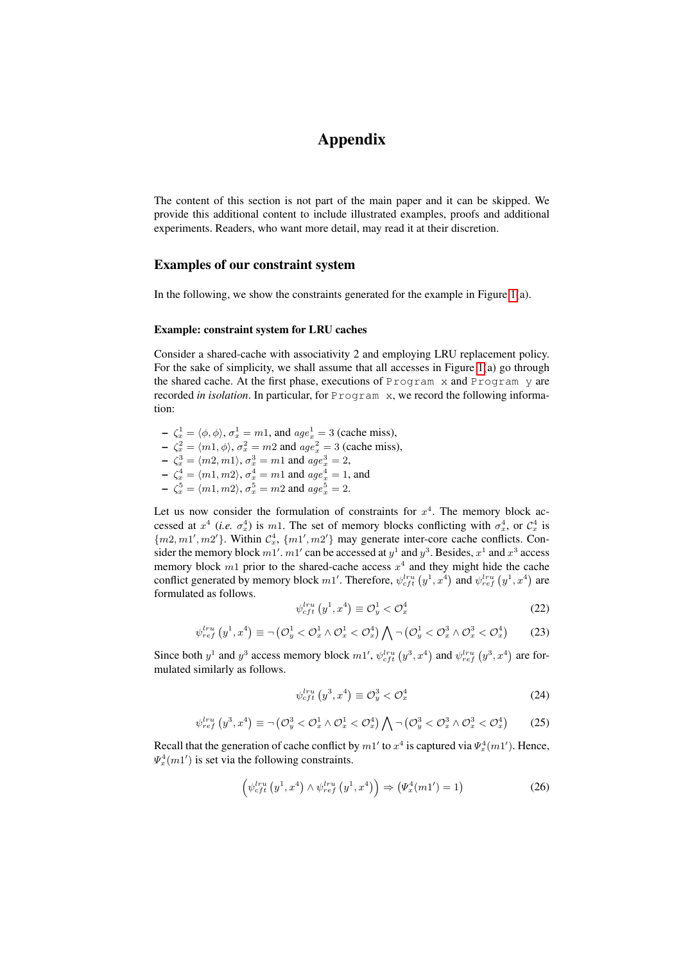## Appendix

The content of this section is not part of the main paper and it can be skipped. We provide this additional content to include illustrated examples, proofs and additional experiments. Readers, who want more detail, may read it at their discretion.

## Examples of our constraint system

In the following, we show the constraints generated for the example in Figure  $1(a)$ .

#### Example: constraint system for LRU caches

Consider a shared-cache with associativity 2 and employing LRU replacement policy. For the sake of simplicity, we shall assume that all accesses in Figure [1\(](#page-4-0)a) go through the shared cache. At the first phase, executions of Program x and Program y are recorded *in isolation*. In particular, for Program x, we record the following information:

 $-\zeta_x^1 = \langle \phi, \phi \rangle$ ,  $\sigma_x^1 = m_1$ , and  $age_x^1 = 3$  (cache miss),  $-\zeta_x^2 = \langle m1, \phi \rangle, \sigma_x^2 = m2$  and  $age_x^2 = 3$  (cache miss),  $-\zeta_x^3 = \langle m2, m1 \rangle, \sigma_x^3 = m1$  and  $age_x^3 = 2$ ,  $-\zeta_x^4 = \langle m1, m2 \rangle, \sigma_x^4 = m1$  and  $age_x^4 = 1$ , and  $-\zeta_x^5 = \langle m1, m2 \rangle, \sigma_x^5 = m2 \text{ and } age_x^5 = 2.$ 

Let us now consider the formulation of constraints for  $x<sup>4</sup>$ . The memory block accessed at  $x^4$  (*i.e.*  $\sigma_x^4$ ) is m1. The set of memory blocks conflicting with  $\sigma_x^4$ , or  $C_x^4$  is  ${m2, m1', m2'}$ . Within  $C_x^4$ ,  ${m1', m2'}$  may generate inter-core cache conflicts. Consider the memory block  $m1'$ .  $m1'$  can be accessed at  $y<sup>1</sup>$  and  $y<sup>3</sup>$ . Besides,  $x<sup>1</sup>$  and  $x<sup>3</sup>$  access memory block  $m1$  prior to the shared-cache access  $x<sup>4</sup>$  and they might hide the cache conflict generated by memory block  $m$ 1'. Therefore,  $\psi_{cft}^{lru} (y^1, x^4)$  and  $\psi_{ref}^{lru} (y^1, x^4)$  are formulated as follows.

$$
\psi_{cft}^{lru} \left( y^1, x^4 \right) \equiv \mathcal{O}_y^1 < \mathcal{O}_x^4 \tag{22}
$$

<span id="page-20-0"></span>
$$
\psi_{ref}^{lru} \left( y^1, x^4 \right) \equiv \neg \left( \mathcal{O}_y^1 < \mathcal{O}_x^1 \land \mathcal{O}_x^1 < \mathcal{O}_x^4 \right) \bigwedge \neg \left( \mathcal{O}_y^1 < \mathcal{O}_x^3 \land \mathcal{O}_x^3 < \mathcal{O}_x^4 \right) \tag{23}
$$

Since both  $y^1$  and  $y^3$  access memory block  $m1', \psi_{cft}^{lru} (y^3, x^4)$  and  $\psi_{ref}^{lru} (y^3, x^4)$  are formulated similarly as follows.

<span id="page-20-1"></span>
$$
\psi_{cft}^{lru} \left( y^3, x^4 \right) \equiv \mathcal{O}_y^3 < \mathcal{O}_x^4 \tag{24}
$$

$$
\psi_{ref}^{lru} \left( y^3, x^4 \right) \equiv \neg \left( \mathcal{O}_y^3 < \mathcal{O}_x^1 \land \mathcal{O}_x^1 < \mathcal{O}_x^4 \right) \bigwedge \neg \left( \mathcal{O}_y^3 < \mathcal{O}_x^3 \land \mathcal{O}_x^3 < \mathcal{O}_x^4 \right) \tag{25}
$$

Recall that the generation of cache conflict by  $m1'$  to  $x^4$  is captured via  $\Psi_x^4(m1')$ . Hence,  $\Psi_x^4(m1')$  is set via the following constraints.

$$
\left(\psi_{cft}^{lru}\left(y^{1},x^{4}\right)\wedge\psi_{ref}^{lru}\left(y^{1},x^{4}\right)\right)\Rightarrow\left(\Psi_{x}^{4}(m1')=1\right)
$$
\n(26)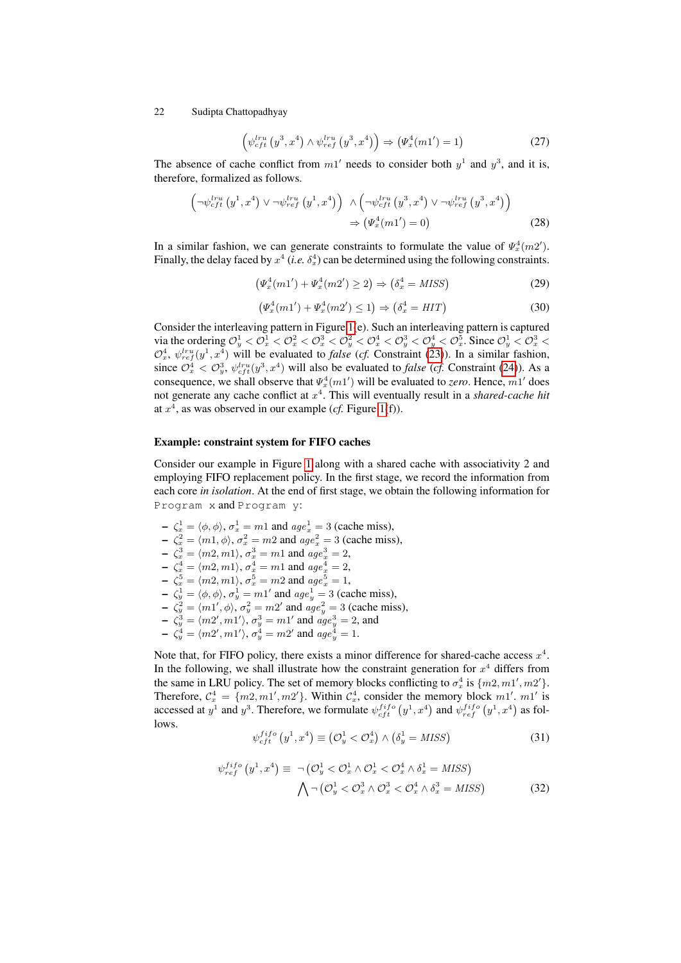$$
\left(\psi_{cft}^{lru}\left(y^{3},x^{4}\right)\wedge\psi_{ref}^{lru}\left(y^{3},x^{4}\right)\right)\Rightarrow\left(\Psi_{x}^{4}(m1')=1\right)\tag{27}
$$

The absence of cache conflict from  $m1'$  needs to consider both  $y^1$  and  $y^3$ , and it is, therefore, formalized as follows.

$$
\left(\neg \psi_{cft}^{lru} \left(y^{1}, x^{4}\right) \lor \neg \psi_{ref}^{lru} \left(y^{1}, x^{4}\right)\right) \land \left(\neg \psi_{cft}^{lru} \left(y^{3}, x^{4}\right) \lor \neg \psi_{ref}^{lru} \left(y^{3}, x^{4}\right)\right) \Rightarrow \left(\Psi_{x}^{4}(m1') = 0\right)
$$
\n
$$
\Rightarrow \left(\Psi_{x}^{4}(m1') = 0\right) \tag{28}
$$

In a similar fashion, we can generate constraints to formulate the value of  $\Psi_x^4(m2')$ . Finally, the delay faced by  $x^4$  (*i.e.*  $\delta_x^4$ ) can be determined using the following constraints.

$$
\left(\Psi_x^4(m1') + \Psi_x^4(m2') \ge 2\right) \Rightarrow \left(\delta_x^4 = MISS\right) \tag{29}
$$

$$
\left(\Psi_x^4(m1') + \Psi_x^4(m2') \le 1\right) \Rightarrow \left(\delta_x^4 = HIT\right) \tag{30}
$$

Consider the interleaving pattern in Figure [1\(](#page-4-0)e). Such an interleaving pattern is captured via the ordering  $\mathcal{O}_y^1 < \mathcal{O}_x^1 < \mathcal{O}_x^2 < \mathcal{O}_x^3 < \mathcal{O}_y^2 < \mathcal{O}_x^4 < \mathcal{O}_y^3 < \mathcal{O}_y^4 < \mathcal{O}_x^5$ . Since  $\mathcal{O}_y^1 < \mathcal{O}_x^3 <$  $\mathcal{O}_x^4$ ,  $\psi_{ref}^{lru}(y^1, x^4)$  will be evaluated to *false* (*cf.* Constraint [\(23\)](#page-20-0)). In a similar fashion, since  $\mathcal{O}_x^4 < \mathcal{O}_y^3$ ,  $\psi_{cft}^{lvu}(y^3, x^4)$  will also be evaluated to *false* (*cf.* Constraint [\(24\)](#page-20-1)). As a consequence, we shall observe that  $\Psi_x^4(m1')$  will be evaluated to *zero*. Hence, m1' does not generate any cache conflict at x 4 . This will eventually result in a *shared-cache hit* at  $x^4$ , as was observed in our example (*cf.* Figure [1\(](#page-4-0)f)).

#### Example: constraint system for FIFO caches

Consider our example in Figure [1](#page-4-0) along with a shared cache with associativity 2 and employing FIFO replacement policy. In the first stage, we record the information from each core *in isolation*. At the end of first stage, we obtain the following information for Program x and Program y:

 $-\zeta_x^1 = \langle \phi, \phi \rangle, \sigma_x^1 = m1$  and  $age_x^1 = 3$  (cache miss),  $-\zeta_x^2 = \langle m1, \phi \rangle, \sigma_x^2 = m2$  and  $age_x^2 = 3$  (cache miss),  $-\zeta_x^3 = \langle m2, m1 \rangle, \sigma_x^3 = m1$  and  $age_x^3 = 2$ ,  $-\zeta_x^4 = \langle m2, m1 \rangle, \sigma_x^4 = m1$  and  $age_x^4 = 2$ ,  $-\zeta_x^5 = \langle m2, m1 \rangle, \sigma_x^5 = m2 \text{ and } age_x^5 = 1,$  $-\zeta_y^1 = \langle \phi, \phi \rangle$ ,  $\sigma_y^1 = m1'$  and  $age_y^1 = 3$  (cache miss),  $-\zeta_y^2 = \langle m1', \phi \rangle$ ,  $\sigma_y^2 = m2'$  and  $age_y^2 = 3$  (cache miss),  $-\zeta_y^3 = \langle m2', m1' \rangle, \sigma_y^3 = m1'$  and  $age_y^3 = 2$ , and  $-\zeta_y^4 = \langle m2', m1' \rangle, \sigma_y^4 = m2'$  and  $age_y^4 = 1$ .

Note that, for FIFO policy, there exists a minor difference for shared-cache access  $x^4$ . In the following, we shall illustrate how the constraint generation for  $x^4$  differs from the same in LRU policy. The set of memory blocks conflicting to  $\sigma_x^4$  is  $\{m2, m1', m2'\}$ . Therefore,  $C_x^4 = \{m2, m1', m2'\}$ . Within  $C_x^4$ , consider the memory block  $m1'$ .  $m1'$  is accessed at  $y^1$  and  $y^3$ . Therefore, we formulate  $\psi_{cft}^{fifo}(y^1, x^4)$  and  $\psi_{ref}^{fifo}(y^1, x^4)$  as follows.

<span id="page-21-0"></span>
$$
\psi_{cft}^{fifo} \left( y^1, x^4 \right) \equiv \left( \mathcal{O}_y^1 < \mathcal{O}_x^4 \right) \wedge \left( \delta_y^1 = \text{MISS} \right) \tag{31}
$$

<span id="page-21-1"></span>
$$
\psi_{ref}^{fifo} (y^1, x^4) \equiv \neg (\mathcal{O}_y^1 < \mathcal{O}_x^1 \land \mathcal{O}_x^1 < \mathcal{O}_x^4 \land \delta_x^1 = MISS) \\
\bigwedge \neg (\mathcal{O}_y^1 < \mathcal{O}_x^3 \land \mathcal{O}_x^3 < \mathcal{O}_x^4 \land \delta_x^3 = MISS) \tag{32}
$$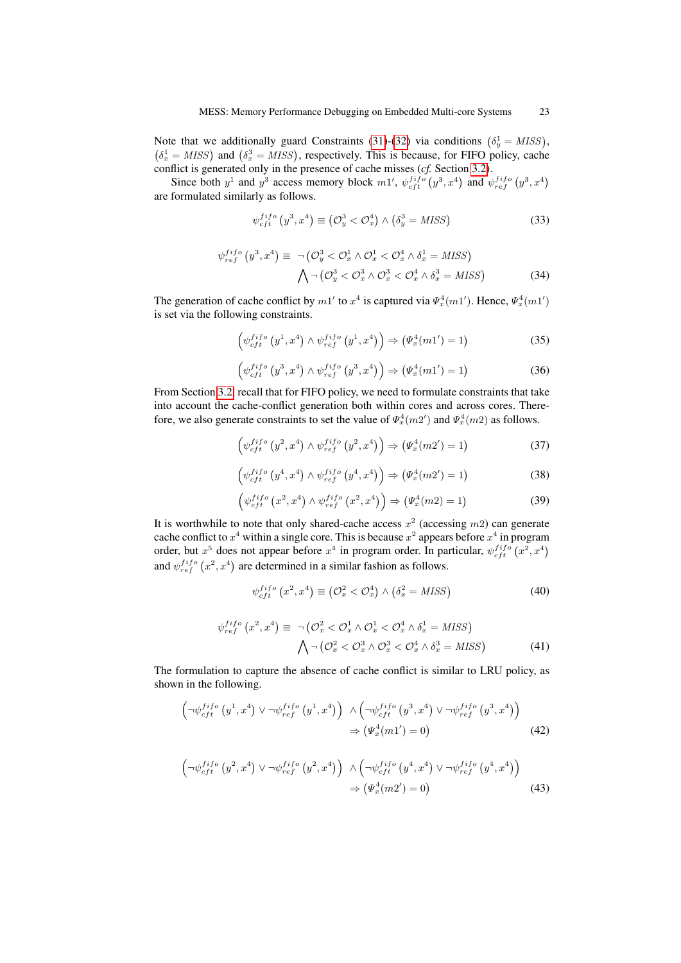Note that we additionally guard Constraints [\(31\)](#page-21-0)-[\(32\)](#page-21-1) via conditions  $(\delta_y^1 = MISS)$ ,  $(\delta_x^1 = MISS)$  and  $(\delta_x^3 = MISS)$ , respectively. This is because, for FIFO policy, cache conflict is generated only in the presence of cache misses (*cf.* Section [3.2\)](#page-9-3).

Since both  $y^1$  and  $y^3$  access memory block  $m1'$ ,  $\psi_{cft}^{fifo}(y^3, x^4)$  and  $\psi_{ref}^{fifo}(y^3, x^4)$ are formulated similarly as follows.

$$
\psi_{cft}^{fifo} \left( y^3, x^4 \right) \equiv \left( \mathcal{O}_y^3 < \mathcal{O}_x^4 \right) \wedge \left( \delta_y^3 = \text{MISS} \right) \tag{33}
$$

$$
\psi_{ref}^{fifo} (y^3, x^4) \equiv \neg (\mathcal{O}_y^3 < \mathcal{O}_x^1 \land \mathcal{O}_x^1 < \mathcal{O}_x^4 \land \delta_x^1 = MISS) \\
\bigwedge \neg (\mathcal{O}_y^3 < \mathcal{O}_x^3 \land \mathcal{O}_x^3 < \mathcal{O}_x^4 \land \delta_x^3 = MISS) \tag{34}
$$

The generation of cache conflict by  $m1'$  to  $x^4$  is captured via  $\Psi_x^4(m1')$ . Hence,  $\Psi_x^4(m1')$ is set via the following constraints.

$$
\left(\psi_{cft}^{fifo}\left(y^{1},x^{4}\right) \wedge \psi_{ref}^{fifo}\left(y^{1},x^{4}\right)\right) \Rightarrow \left(\Psi_{x}^{4}(m1')=1\right) \tag{35}
$$

$$
\left(\psi_{cft}^{fifo}\left(y^3, x^4\right) \wedge \psi_{ref}^{fifo}\left(y^3, x^4\right)\right) \Rightarrow \left(\Psi_x^4(m1') = 1\right) \tag{36}
$$

From Section [3.2,](#page-9-3) recall that for FIFO policy, we need to formulate constraints that take into account the cache-conflict generation both within cores and across cores. Therefore, we also generate constraints to set the value of  $\Psi_x^4(m2')$  and  $\Psi_x^4(m2)$  as follows.

$$
\left(\psi_{cft}^{fifo}\left(y^2, x^4\right) \wedge \psi_{ref}^{fifo}\left(y^2, x^4\right)\right) \Rightarrow \left(\Psi_x^4(m2') = 1\right) \tag{37}
$$

$$
\left(\psi_{cft}^{fifo}\left(y^4, x^4\right) \wedge \psi_{ref}^{fifo}\left(y^4, x^4\right)\right) \Rightarrow \left(\Psi_x^4(m2') = 1\right) \tag{38}
$$

$$
\left(\psi_{cft}^{fifo}\left(x^2, x^4\right) \wedge \psi_{ref}^{fifo}\left(x^2, x^4\right)\right) \Rightarrow \left(\Psi_x^4(m2) = 1\right) \tag{39}
$$

It is worthwhile to note that only shared-cache access  $x^2$  (accessing  $m2$ ) can generate cache conflict to  $x^4$  within a single core. This is because  $x^2$  appears before  $x^4$  in program order, but  $x^5$  does not appear before  $x^4$  in program order. In particular,  $\psi_{cft}^{fifo}(x^2, x^4)$ and  $\psi_{ref}^{fifo}(x^2, x^4)$  are determined in a similar fashion as follows.

$$
\psi_{cft}^{fifo} \left( x^2, x^4 \right) \equiv \left( \mathcal{O}_x^2 < \mathcal{O}_x^4 \right) \wedge \left( \delta_x^2 = MISS \right) \tag{40}
$$

<span id="page-22-0"></span>
$$
\psi_{ref}^{fifo} (x^2, x^4) \equiv \neg (\mathcal{O}_x^2 < \mathcal{O}_x^1 \land \mathcal{O}_x^1 < \mathcal{O}_x^4 \land \delta_x^1 = MISS)
$$
\n
$$
\bigwedge \neg (\mathcal{O}_x^2 < \mathcal{O}_x^3 \land \mathcal{O}_x^3 < \mathcal{O}_x^4 \land \delta_x^3 = MISS)
$$
\n
$$
(41)
$$

The formulation to capture the absence of cache conflict is similar to LRU policy, as shown in the following.

$$
\begin{pmatrix}\n-\psi_{cft}^{fifo}\left(y^{1},x^{4}\right) \vee \neg \psi_{ref}^{fifo}\left(y^{1},x^{4}\right)\n\end{pmatrix}\n\wedge\n\begin{pmatrix}\n-\psi_{cft}^{fifo}\left(y^{3},x^{4}\right) \vee \neg \psi_{ref}^{fifo}\left(y^{3},x^{4}\right)\n\end{pmatrix}\n\Rightarrow\n\begin{pmatrix}\n\psi_{cft}^{4}(m1')=0\n\end{pmatrix}
$$
\n(42)

$$
\left(\neg \psi_{cft}^{fifo} \left(y^2, x^4\right) \lor \neg \psi_{ref}^{fifo} \left(y^2, x^4\right)\right) \land \left(\neg \psi_{cft}^{fifo} \left(y^4, x^4\right) \lor \neg \psi_{ref}^{fifo} \left(y^4, x^4\right)\right) \Rightarrow \left(\Psi_x^4(m2') = 0\right) \tag{43}
$$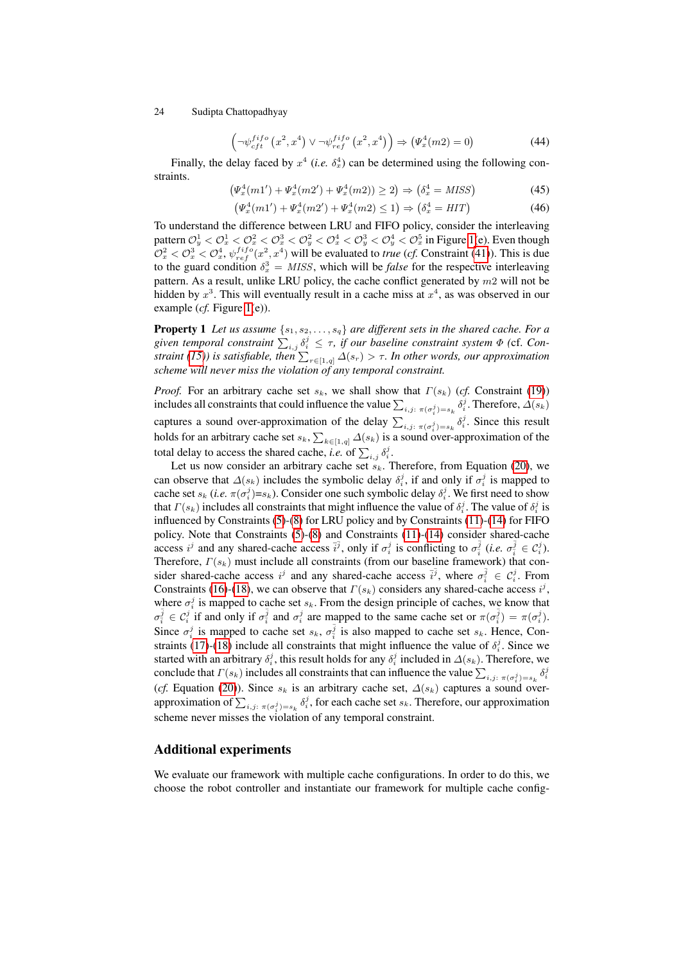$$
\left(\neg \psi_{cft}^{fifo}\left(x^{2}, x^{4}\right) \lor \neg \psi_{ref}^{fifo}\left(x^{2}, x^{4}\right)\right) \Rightarrow \left(\Psi_{x}^{4}(m2) = 0\right)
$$
\n(44)

Finally, the delay faced by  $x^4$  (*i.e.*  $\delta_x^4$ ) can be determined using the following constraints.

$$
\left(\Psi_x^4(m1') + \Psi_x^4(m2') + \Psi_x^4(m2)\right) \ge 2\right) \Rightarrow \left(\delta_x^4 = MISS\right) \tag{45}
$$

$$
\left(\Psi_x^4(m1') + \Psi_x^4(m2') + \Psi_x^4(m2) \le 1\right) \Rightarrow \left(\delta_x^4 = HIT\right) \tag{46}
$$

To understand the difference between LRU and FIFO policy, consider the interleaving pattern  $\mathcal{O}_y^1<\mathcal{O}_x^1<\mathcal{O}_x^2<\mathcal{O}_x^3<\mathcal{O}_y^2<\mathcal{O}_x^4<\mathcal{O}_y^3<\mathcal{O}_y^4<\mathcal{O}_x^5$  in Figure [1\(](#page-4-0)e). Even though  $\mathcal{O}_x^2 < \mathcal{O}_x^3 < \mathcal{O}_x^4$ ,  $\psi_{ref}^{fifo}(x^2, x^4)$  will be evaluated to *true* (*cf.* Constraint [\(41\)](#page-22-0)). This is due to the guard condition  $\delta_x^3 = MISS$ , which will be *false* for the respective interleaving pattern. As a result, unlike LRU policy, the cache conflict generated by  $m2$  will not be hidden by  $x^3$ . This will eventually result in a cache miss at  $x^4$ , as was observed in our example (*cf.* Figure [1\(](#page-4-0)e)).

**Property 1** Let us assume  $\{s_1, s_2, \ldots, s_q\}$  are different sets in the shared cache. For a given temporal constraint  $\sum_{i,j} \delta_i^j \leq \tau$ , if our baseline constraint system  $\Phi$  (cf. Con*straint* [\(15\)](#page-11-0)) is satisfiable, then  $\sum_{r \in [1,q]} \Delta(s_r) > \tau$ . In other words, our approximation *scheme will never miss the violation of any temporal constraint.*

*Proof.* For an arbitrary cache set  $s_k$ , we shall show that  $\Gamma(s_k)$  (*cf.* Constraint [\(19\)](#page-12-1)) includes all constraints that could influence the value  $\sum_{i,j: \pi(\sigma_i^j)=s_k} \delta_i^j$ . Therefore,  $\Delta(s_k)$ captures a sound over-approximation of the delay  $\sum_{i,j: \pi(\sigma_i^j)=s_k}^{\infty} \delta_i^j$ . Since this result holds for an arbitrary cache set  $s_k$ ,  $\sum_{k \in [1,q]} \Delta(s_k)$  is a sound over-approximation of the total delay to access the shared cache, *i.e.* of  $\sum_{i,j} \delta_i^j$ .

Let us now consider an arbitrary cache set  $s_k$ . Therefore, from Equation [\(20\)](#page-12-0), we can observe that  $\Delta(s_k)$  includes the symbolic delay  $\delta_i^j$ , if and only if  $\sigma_i^j$  is mapped to cache set  $s_k$  (*i.e.*  $\pi(\sigma_i^j)=s_k$ ). Consider one such symbolic delay  $\delta_i^j$ . We first need to show that  $\Gamma(s_k)$  includes all constraints that might influence the value of  $\delta_i^j$ . The value of  $\delta_i^j$  is influenced by Constraints [\(5\)](#page-8-2)-[\(8\)](#page-9-2) for LRU policy and by Constraints [\(11\)](#page-10-2)-[\(14\)](#page-10-5) for FIFO policy. Note that Constraints [\(5\)](#page-8-2)-[\(8\)](#page-9-2) and Constraints [\(11\)](#page-10-2)-[\(14\)](#page-10-5) consider shared-cache access  $i^j$  and any shared-cache access  $\bar{i}^{\bar{j}}$ , only if  $\sigma_i^j$  is conflicting to  $\sigma_{\bar{i}}^{\bar{j}}$  (*i.e.*  $\sigma_{\bar{i}}^{\bar{j}} \in C_i^j$ ). Therefore,  $\Gamma(s_k)$  must include all constraints (from our baseline framework) that consider shared-cache access  $i^j$  and any shared-cache access  $\bar{i}^j$ , where  $\sigma_{\bar{i}}^{\bar{j}} \in C_i^j$ . From Constraints [\(16\)](#page-12-2)-[\(18\)](#page-12-3), we can observe that  $\Gamma(s_k)$  considers any shared-cache access  $i^j$ , where  $\sigma_i^j$  is mapped to cache set  $s_k$ . From the design principle of caches, we know that  $\sigma_{\bar{i}}^{\bar{j}} \in C_i^j$  if and only if  $\sigma_{\bar{i}}^{\bar{j}}$  and  $\sigma_i^j$  are mapped to the same cache set or  $\pi(\sigma_{\bar{i}}^{\bar{j}}) = \pi(\sigma_i^j)$ . Since  $\sigma_i^j$  is mapped to cache set  $s_k$ ,  $\sigma_i^{\bar{j}}$  is also mapped to cache set  $s_k$ . Hence, Con-straints [\(17\)](#page-12-4)-[\(18\)](#page-12-3) include all constraints that might influence the value of  $\delta_i^j$ . Since we started with an arbitrary  $\delta_i^j$ , this result holds for any  $\delta_i^j$  included in  $\Delta(s_k)$ . Therefore, we conclude that  $\Gamma(s_k)$  includes all constraints that can influence the value  $\sum_{i,j: \pi(\sigma_i^j)=s_k} \delta_i^j$ (*cf.* Equation [\(20\)](#page-12-0)). Since  $s_k$  is an arbitrary cache set,  $\Delta(s_k)$  captures a sound overapproximation of  $\sum_{i,j: \pi(\sigma_i^j)=s_k} \delta_i^j$ , for each cache set  $s_k$ . Therefore, our approximation scheme never misses the violation of any temporal constraint.

## Additional experiments

We evaluate our framework with multiple cache configurations. In order to do this, we choose the robot controller and instantiate our framework for multiple cache config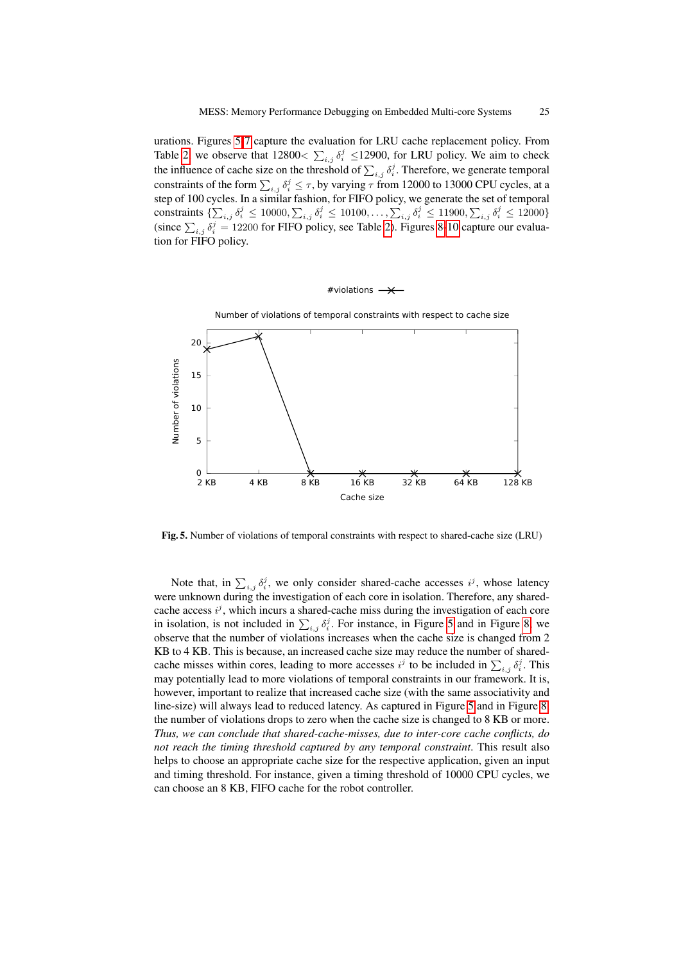urations. Figures [5-](#page-24-0)[7](#page-25-0) capture the evaluation for LRU cache replacement policy. From Table [2,](#page-15-1) we observe that  $12800 < \sum_{i,j} \delta_i^j \leq 12900$ , for LRU policy. We aim to check the influence of cache size on the threshold of  $\sum_{i,j} \delta_i^j$ . Therefore, we generate temporal constraints of the form  $\sum_{i,j} \delta_i^j \leq \tau$ , by varying  $\tau$  from 12000 to 13000 CPU cycles, at a step of 100 cycles. In a similar fashion, for FIFO policy, we generate the set of temporal constraints  $\{\sum_{i,j}\delta_i^j \le 10000, \sum_{i,j}\delta_i^j \le 10100, \ldots, \sum_{i,j}\delta_i^j \le 11900, \sum_{i,j}\delta_i^j \le 12000\}$ (since  $\sum_{i,j} \delta_i^j = 12200$  for FIFO policy, see Table [2\)](#page-15-1). Figures [8-](#page-26-0)[10](#page-27-0) capture our evaluation for FIFO policy.





<span id="page-24-0"></span>Fig. 5. Number of violations of temporal constraints with respect to shared-cache size (LRU)

Note that, in  $\sum_{i,j} \delta_i^j$ , we only consider shared-cache accesses  $i^j$ , whose latency were unknown during the investigation of each core in isolation. Therefore, any sharedcache access  $i^j$ , which incurs a shared-cache miss during the investigation of each core in isolation, is not included in  $\sum_{i,j} \delta_i^j$ . For instance, in Figure [5](#page-24-0) and in Figure [8,](#page-26-0) we observe that the number of violations increases when the cache size is changed from 2 KB to 4 KB. This is because, an increased cache size may reduce the number of sharedcache misses within cores, leading to more accesses  $i^j$  to be included in  $\sum_{i,j} \delta_i^j$ . This may potentially lead to more violations of temporal constraints in our framework. It is, however, important to realize that increased cache size (with the same associativity and line-size) will always lead to reduced latency. As captured in Figure [5](#page-24-0) and in Figure [8,](#page-26-0) the number of violations drops to zero when the cache size is changed to 8 KB or more. *Thus, we can conclude that shared-cache-misses, due to inter-core cache conflicts, do not reach the timing threshold captured by any temporal constraint*. This result also helps to choose an appropriate cache size for the respective application, given an input and timing threshold. For instance, given a timing threshold of 10000 CPU cycles, we can choose an 8 KB, FIFO cache for the robot controller.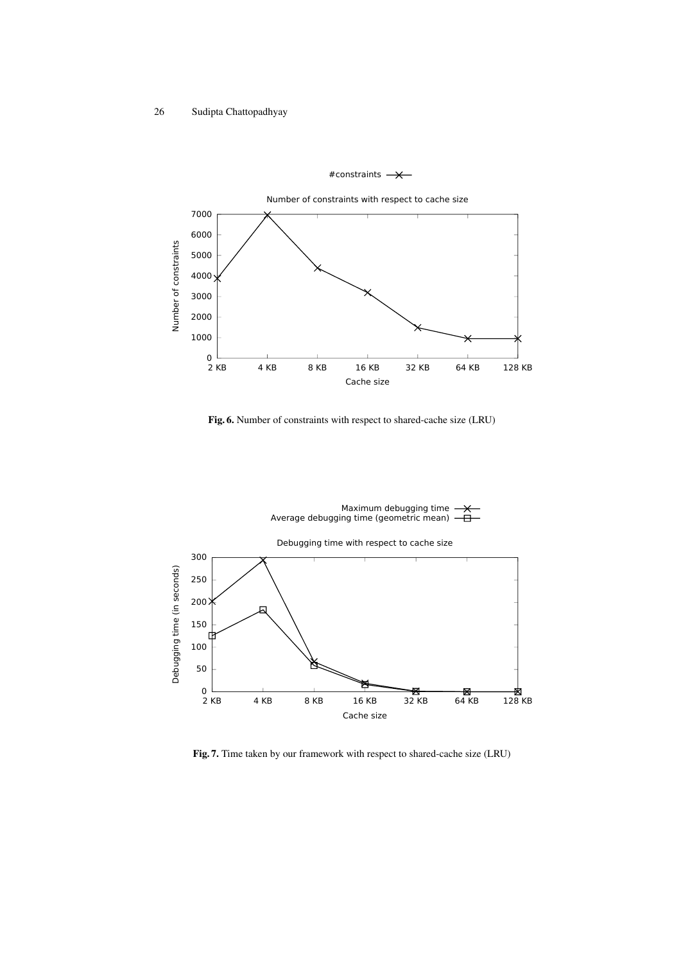



<span id="page-25-1"></span>Fig. 6. Number of constraints with respect to shared-cache size (LRU)



<span id="page-25-0"></span>Fig. 7. Time taken by our framework with respect to shared-cache size (LRU)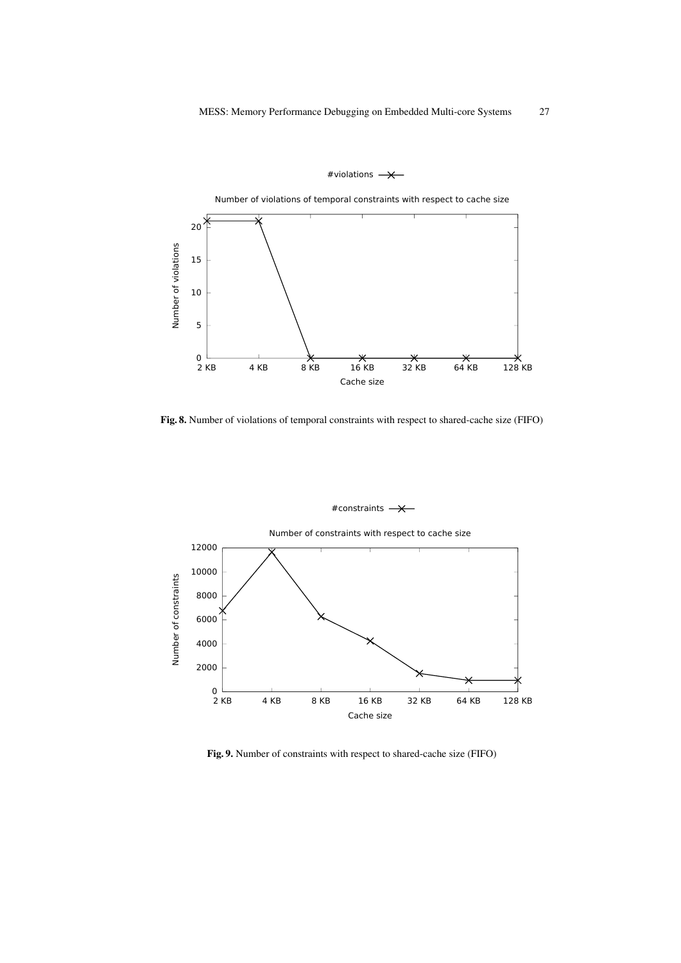



Number of violations of temporal constraints with respect to cache size

<span id="page-26-0"></span>Fig. 8. Number of violations of temporal constraints with respect to shared-cache size (FIFO)



<span id="page-26-1"></span>Fig. 9. Number of constraints with respect to shared-cache size (FIFO)